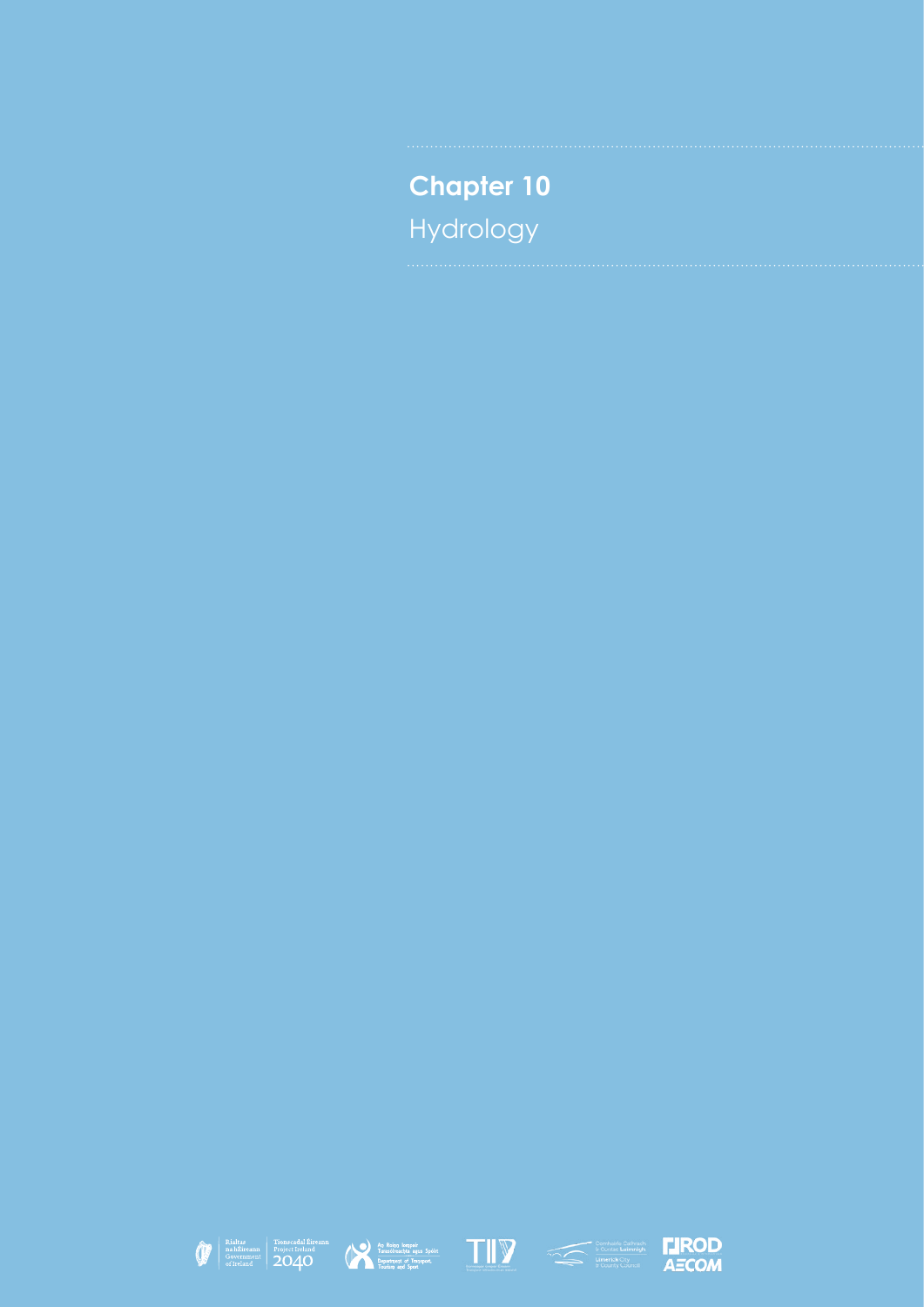**Chapter 10** Hydrology











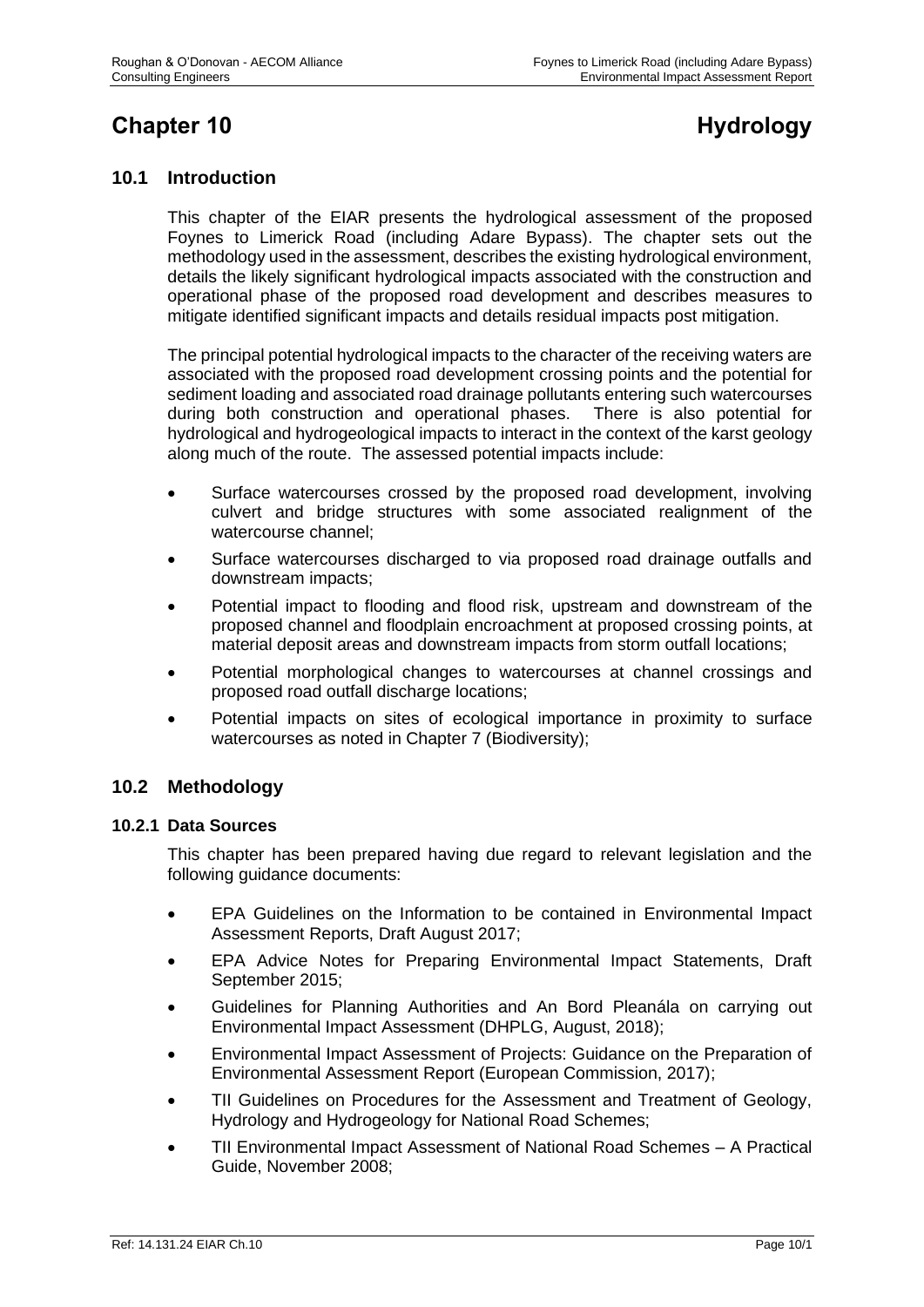# **Chapter 10 Hydrology**

# **10.1 Introduction**

This chapter of the EIAR presents the hydrological assessment of the proposed Foynes to Limerick Road (including Adare Bypass). The chapter sets out the methodology used in the assessment, describes the existing hydrological environment, details the likely significant hydrological impacts associated with the construction and operational phase of the proposed road development and describes measures to mitigate identified significant impacts and details residual impacts post mitigation.

The principal potential hydrological impacts to the character of the receiving waters are associated with the proposed road development crossing points and the potential for sediment loading and associated road drainage pollutants entering such watercourses during both construction and operational phases. There is also potential for hydrological and hydrogeological impacts to interact in the context of the karst geology along much of the route. The assessed potential impacts include:

- Surface watercourses crossed by the proposed road development, involving culvert and bridge structures with some associated realignment of the watercourse channel;
- Surface watercourses discharged to via proposed road drainage outfalls and downstream impacts;
- Potential impact to flooding and flood risk, upstream and downstream of the proposed channel and floodplain encroachment at proposed crossing points, at material deposit areas and downstream impacts from storm outfall locations;
- Potential morphological changes to watercourses at channel crossings and proposed road outfall discharge locations;
- Potential impacts on sites of ecological importance in proximity to surface watercourses as noted in Chapter 7 (Biodiversity);

# **10.2 Methodology**

#### **10.2.1 Data Sources**

This chapter has been prepared having due regard to relevant legislation and the following guidance documents:

- EPA Guidelines on the Information to be contained in Environmental Impact Assessment Reports, Draft August 2017;
- EPA Advice Notes for Preparing Environmental Impact Statements, Draft September 2015;
- Guidelines for Planning Authorities and An Bord Pleanála on carrying out Environmental Impact Assessment (DHPLG, August, 2018);
- Environmental Impact Assessment of Projects: Guidance on the Preparation of Environmental Assessment Report (European Commission, 2017);
- TII Guidelines on Procedures for the Assessment and Treatment of Geology, Hydrology and Hydrogeology for National Road Schemes;
- TII Environmental Impact Assessment of National Road Schemes A Practical Guide, November 2008;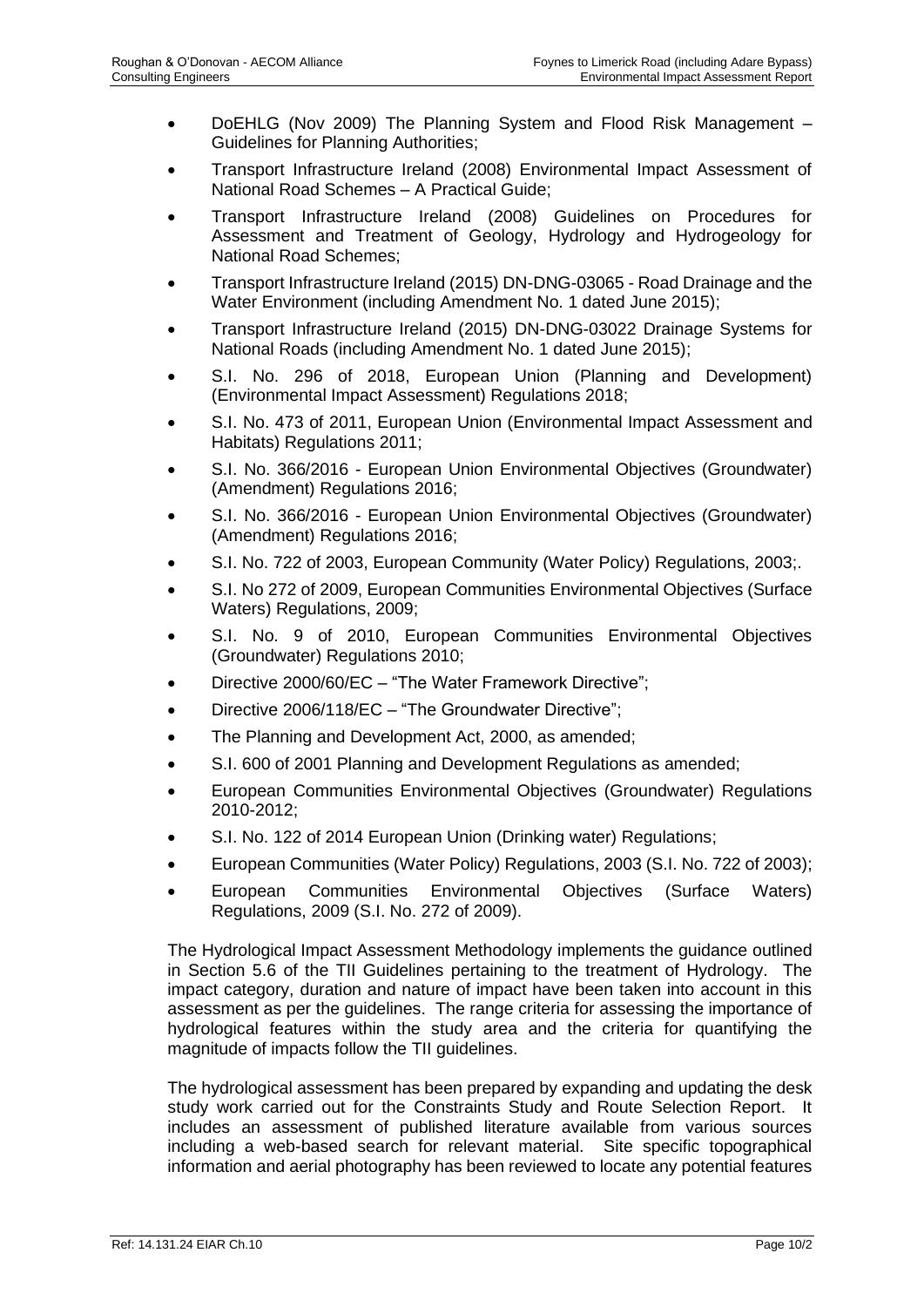- DoEHLG (Nov 2009) The Planning System and Flood Risk Management Guidelines for Planning Authorities;
- Transport Infrastructure Ireland (2008) Environmental Impact Assessment of National Road Schemes – A Practical Guide;
- Transport Infrastructure Ireland (2008) Guidelines on Procedures for Assessment and Treatment of Geology, Hydrology and Hydrogeology for National Road Schemes;
- Transport Infrastructure Ireland (2015) DN-DNG-03065 Road Drainage and the Water Environment (including Amendment No. 1 dated June 2015);
- Transport Infrastructure Ireland (2015) DN-DNG-03022 Drainage Systems for National Roads (including Amendment No. 1 dated June 2015);
- S.I. No. 296 of 2018, European Union (Planning and Development) (Environmental Impact Assessment) Regulations 2018;
- S.I. No. 473 of 2011, European Union (Environmental Impact Assessment and Habitats) Regulations 2011;
- S.I. No. 366/2016 European Union Environmental Objectives (Groundwater) (Amendment) Regulations 2016;
- S.I. No. 366/2016 European Union Environmental Objectives (Groundwater) (Amendment) Regulations 2016;
- S.I. No. 722 of 2003, European Community (Water Policy) Regulations, 2003;.
- S.I. No 272 of 2009, European Communities Environmental Objectives (Surface Waters) Regulations, 2009;
- S.I. No. 9 of 2010, European Communities Environmental Objectives (Groundwater) Regulations 2010;
- Directive 2000/60/EC "The Water Framework Directive";
- Directive 2006/118/EC "The Groundwater Directive";
- The Planning and Development Act, 2000, as amended;
- S.I. 600 of 2001 Planning and Development Regulations as amended;
- European Communities Environmental Objectives (Groundwater) Regulations 2010-2012;
- S.I. No. 122 of 2014 European Union (Drinking water) Regulations;
- European Communities (Water Policy) Regulations, 2003 (S.I. No. 722 of 2003);
- European Communities Environmental Objectives (Surface Waters) Regulations, 2009 (S.I. No. 272 of 2009).

The Hydrological Impact Assessment Methodology implements the guidance outlined in Section 5.6 of the TII Guidelines pertaining to the treatment of Hydrology. The impact category, duration and nature of impact have been taken into account in this assessment as per the guidelines. The range criteria for assessing the importance of hydrological features within the study area and the criteria for quantifying the magnitude of impacts follow the TII guidelines.

The hydrological assessment has been prepared by expanding and updating the desk study work carried out for the Constraints Study and Route Selection Report. It includes an assessment of published literature available from various sources including a web-based search for relevant material. Site specific topographical information and aerial photography has been reviewed to locate any potential features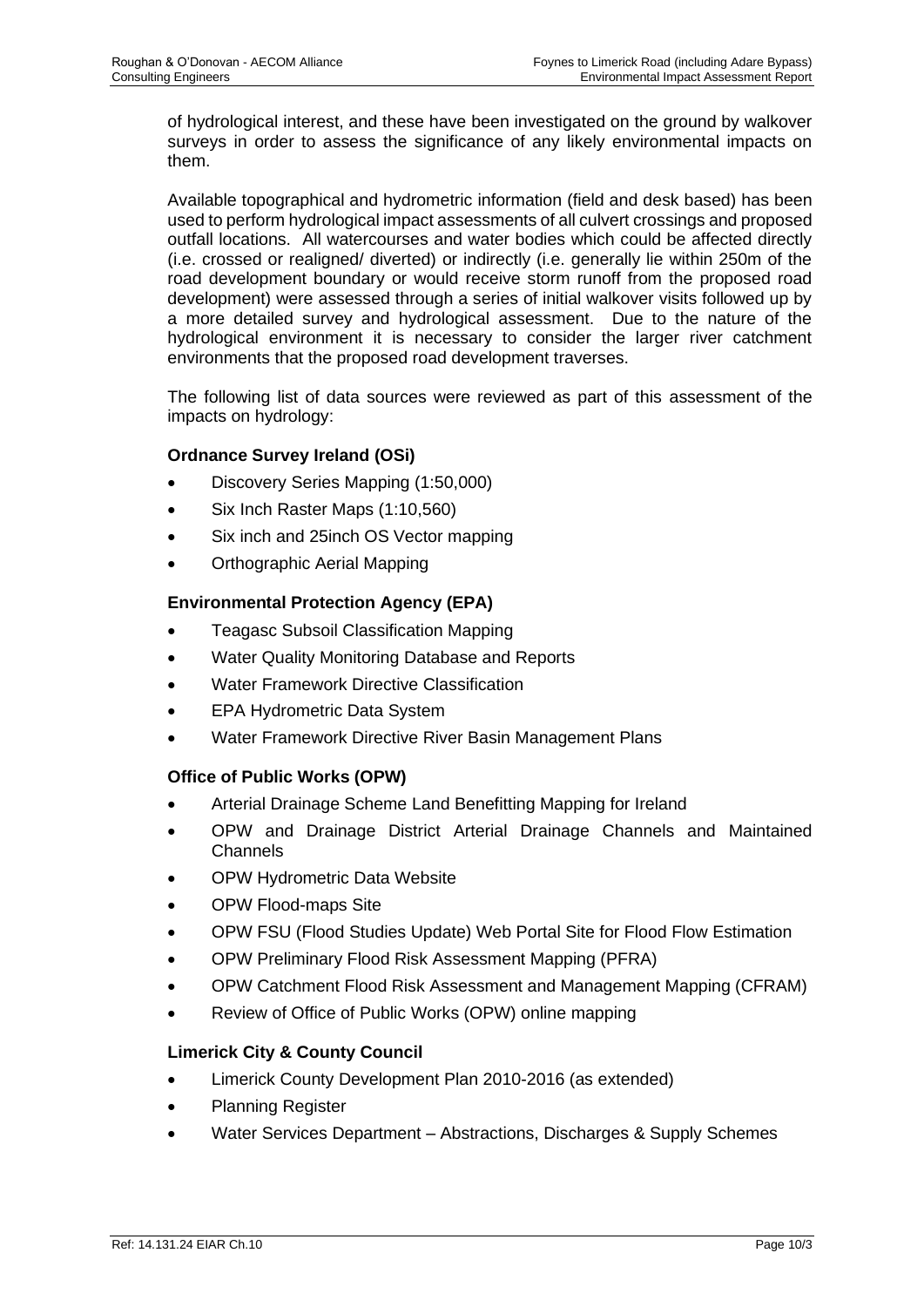of hydrological interest, and these have been investigated on the ground by walkover surveys in order to assess the significance of any likely environmental impacts on them.

Available topographical and hydrometric information (field and desk based) has been used to perform hydrological impact assessments of all culvert crossings and proposed outfall locations. All watercourses and water bodies which could be affected directly (i.e. crossed or realigned/ diverted) or indirectly (i.e. generally lie within 250m of the road development boundary or would receive storm runoff from the proposed road development) were assessed through a series of initial walkover visits followed up by a more detailed survey and hydrological assessment. Due to the nature of the hydrological environment it is necessary to consider the larger river catchment environments that the proposed road development traverses.

The following list of data sources were reviewed as part of this assessment of the impacts on hydrology:

## **Ordnance Survey Ireland (OSi)**

- Discovery Series Mapping (1:50,000)
- Six Inch Raster Maps (1:10,560)
- Six inch and 25 inch OS Vector mapping
- Orthographic Aerial Mapping

## **Environmental Protection Agency (EPA)**

- Teagasc Subsoil Classification Mapping
- Water Quality Monitoring Database and Reports
- Water Framework Directive Classification
- EPA Hydrometric Data System
- Water Framework Directive River Basin Management Plans

#### **Office of Public Works (OPW)**

- Arterial Drainage Scheme Land Benefitting Mapping for Ireland
- OPW and Drainage District Arterial Drainage Channels and Maintained Channels
- OPW Hydrometric Data Website
- OPW Flood-maps Site
- OPW FSU (Flood Studies Update) Web Portal Site for Flood Flow Estimation
- OPW Preliminary Flood Risk Assessment Mapping (PFRA)
- OPW Catchment Flood Risk Assessment and Management Mapping (CFRAM)
- Review of Office of Public Works (OPW) online mapping

#### **Limerick City & County Council**

- Limerick County Development Plan 2010-2016 (as extended)
- Planning Register
- Water Services Department Abstractions, Discharges & Supply Schemes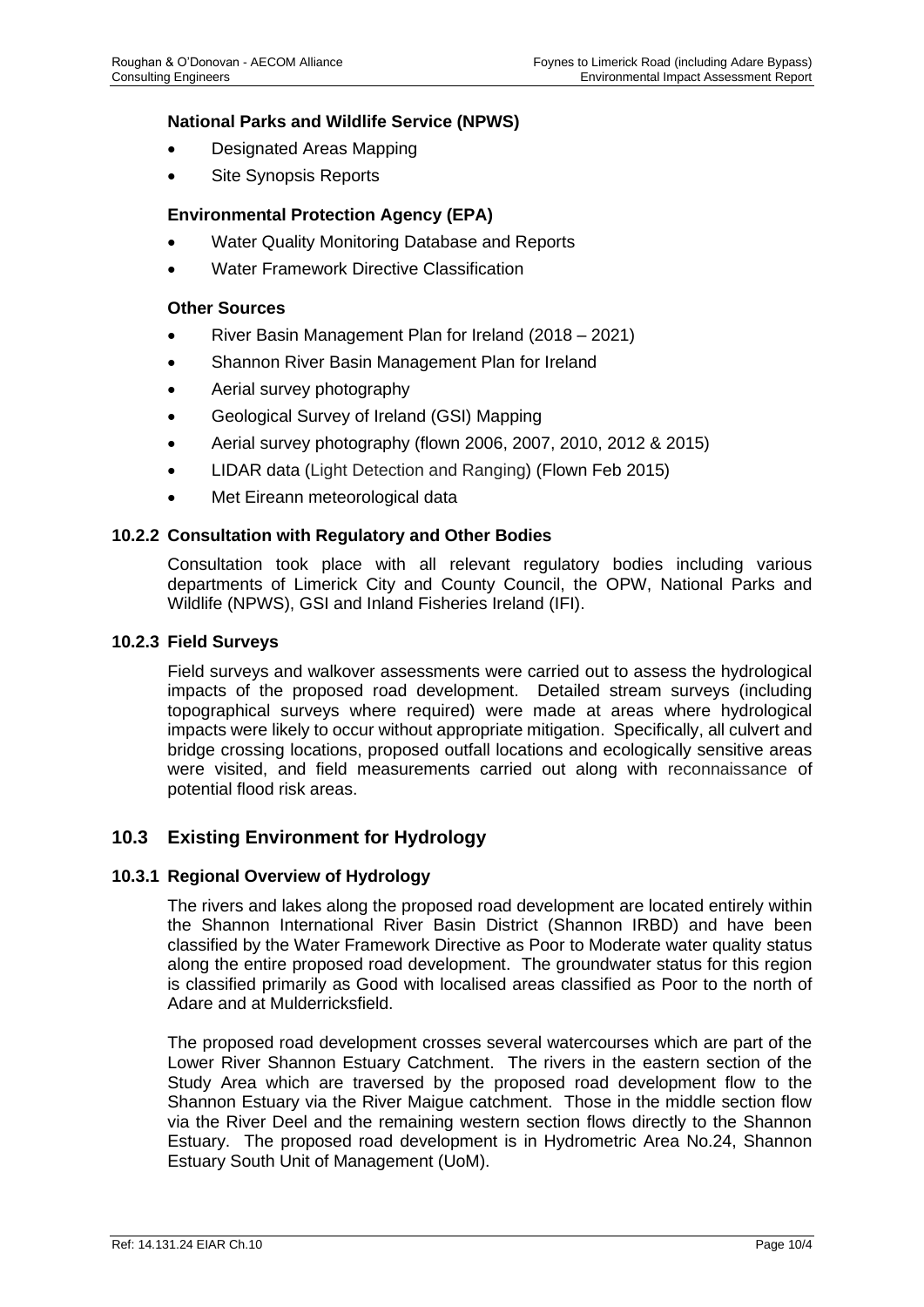#### **National Parks and Wildlife Service (NPWS)**

- Designated Areas Mapping
- Site Synopsis Reports

#### **Environmental Protection Agency (EPA)**

- Water Quality Monitoring Database and Reports
- Water Framework Directive Classification

#### **Other Sources**

- River Basin Management Plan for Ireland (2018 2021)
- Shannon River Basin Management Plan for Ireland
- Aerial survey photography
- Geological Survey of Ireland (GSI) Mapping
- Aerial survey photography (flown 2006, 2007, 2010, 2012 & 2015)
- LIDAR data (Light Detection and Ranging) (Flown Feb 2015)
- Met Eireann meteorological data

#### **10.2.2 Consultation with Regulatory and Other Bodies**

Consultation took place with all relevant regulatory bodies including various departments of Limerick City and County Council, the OPW, National Parks and Wildlife (NPWS), GSI and Inland Fisheries Ireland (IFI).

#### **10.2.3 Field Surveys**

Field surveys and walkover assessments were carried out to assess the hydrological impacts of the proposed road development. Detailed stream surveys (including topographical surveys where required) were made at areas where hydrological impacts were likely to occur without appropriate mitigation. Specifically, all culvert and bridge crossing locations, proposed outfall locations and ecologically sensitive areas were visited, and field measurements carried out along with reconnaissance of potential flood risk areas.

#### **10.3 Existing Environment for Hydrology**

#### **10.3.1 Regional Overview of Hydrology**

The rivers and lakes along the proposed road development are located entirely within the Shannon International River Basin District (Shannon IRBD) and have been classified by the Water Framework Directive as Poor to Moderate water quality status along the entire proposed road development. The groundwater status for this region is classified primarily as Good with localised areas classified as Poor to the north of Adare and at Mulderricksfield.

The proposed road development crosses several watercourses which are part of the Lower River Shannon Estuary Catchment. The rivers in the eastern section of the Study Area which are traversed by the proposed road development flow to the Shannon Estuary via the River Maigue catchment. Those in the middle section flow via the River Deel and the remaining western section flows directly to the Shannon Estuary. The proposed road development is in Hydrometric Area No.24, Shannon Estuary South Unit of Management (UoM).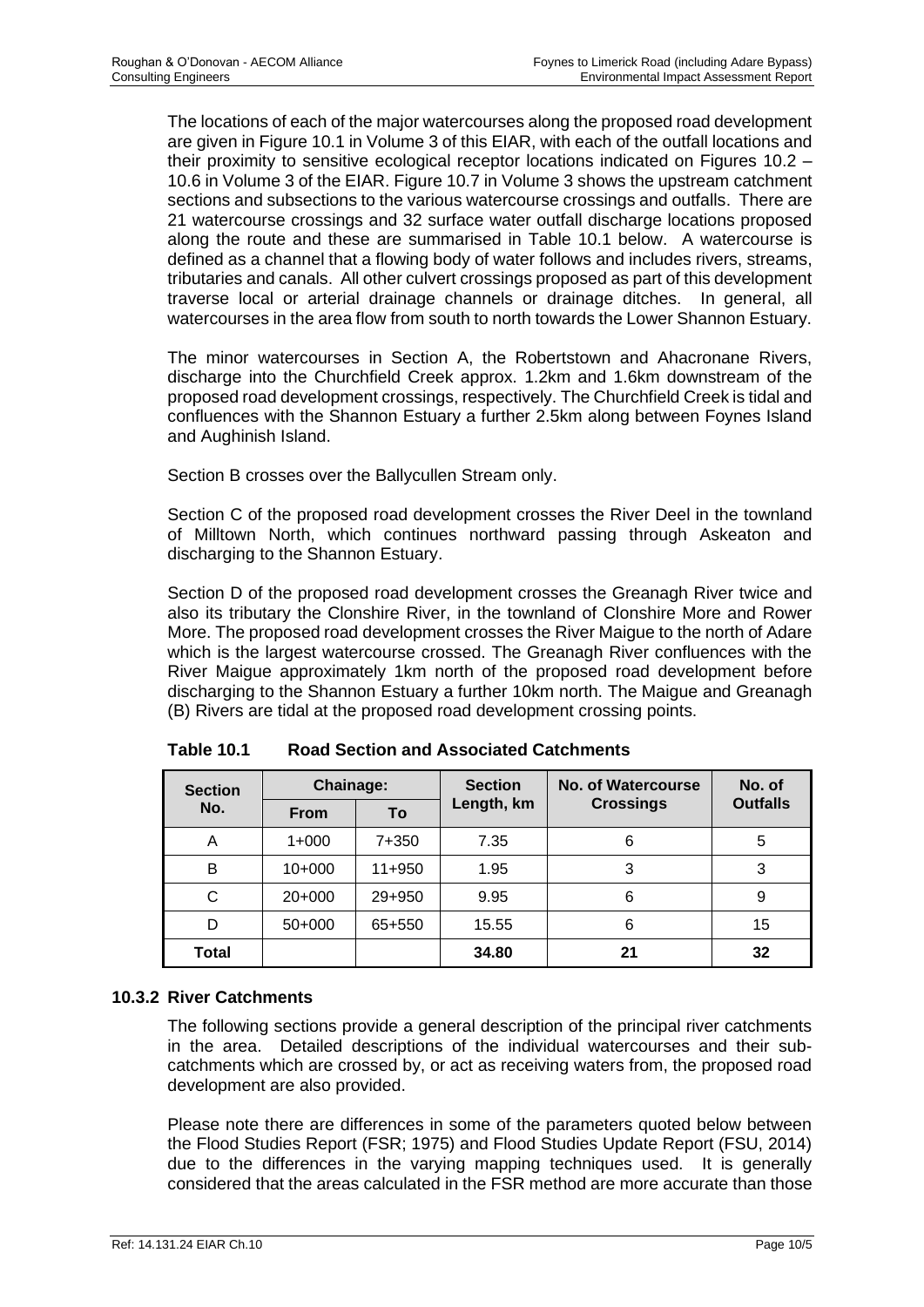The locations of each of the major watercourses along the proposed road development are given in Figure 10.1 in Volume 3 of this EIAR, with each of the outfall locations and their proximity to sensitive ecological receptor locations indicated on Figures 10.2 – 10.6 in Volume 3 of the EIAR. Figure 10.7 in Volume 3 shows the upstream catchment sections and subsections to the various watercourse crossings and outfalls. There are 21 watercourse crossings and 32 surface water outfall discharge locations proposed along the route and these are summarised in Table 10.1 below. A watercourse is defined as a channel that a flowing body of water follows and includes rivers, streams, tributaries and canals. All other culvert crossings proposed as part of this development traverse local or arterial drainage channels or drainage ditches. In general, all watercourses in the area flow from south to north towards the Lower Shannon Estuary.

The minor watercourses in Section A, the Robertstown and Ahacronane Rivers, discharge into the Churchfield Creek approx. 1.2km and 1.6km downstream of the proposed road development crossings, respectively. The Churchfield Creek is tidal and confluences with the Shannon Estuary a further 2.5km along between Foynes Island and Aughinish Island.

Section B crosses over the Ballycullen Stream only.

Section C of the proposed road development crosses the River Deel in the townland of Milltown North, which continues northward passing through Askeaton and discharging to the Shannon Estuary.

Section D of the proposed road development crosses the Greanagh River twice and also its tributary the Clonshire River, in the townland of Clonshire More and Rower More. The proposed road development crosses the River Maigue to the north of Adare which is the largest watercourse crossed. The Greanagh River confluences with the River Maigue approximately 1km north of the proposed road development before discharging to the Shannon Estuary a further 10km north. The Maigue and Greanagh (B) Rivers are tidal at the proposed road development crossing points.

| <b>Section</b> | <b>Chainage:</b> |          | <b>Section</b> | No. of Watercourse | No. of          |  |
|----------------|------------------|----------|----------------|--------------------|-----------------|--|
| No.            | <b>From</b>      | To       | Length, km     | <b>Crossings</b>   | <b>Outfalls</b> |  |
| A              | $1+000$          | 7+350    | 7.35           | 6                  | 5               |  |
| B              | $10+000$         | $11+950$ | 1.95           | 3                  | 3               |  |
| С              | $20+000$         | 29+950   | 9.95           | 6                  | 9               |  |
| D              | $50+000$         | 65+550   | 15.55          | 6                  | 15              |  |
| Total          |                  |          | 34.80          | 21                 | 32              |  |

**Table 10.1 Road Section and Associated Catchments**

# **10.3.2 River Catchments**

The following sections provide a general description of the principal river catchments in the area. Detailed descriptions of the individual watercourses and their subcatchments which are crossed by, or act as receiving waters from, the proposed road development are also provided.

Please note there are differences in some of the parameters quoted below between the Flood Studies Report (FSR; 1975) and Flood Studies Update Report (FSU, 2014) due to the differences in the varying mapping techniques used. It is generally considered that the areas calculated in the FSR method are more accurate than those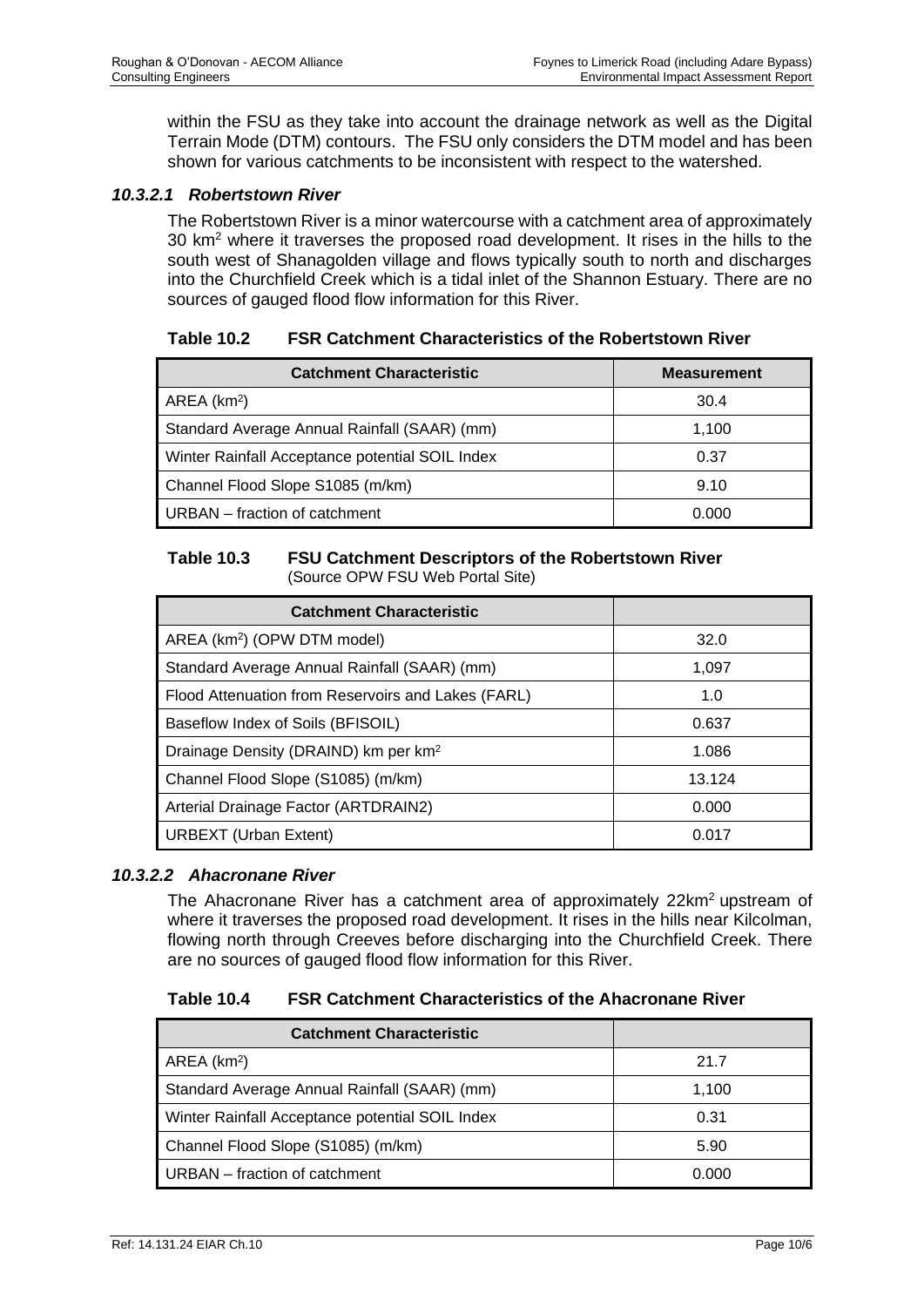within the FSU as they take into account the drainage network as well as the Digital Terrain Mode (DTM) contours. The FSU only considers the DTM model and has been shown for various catchments to be inconsistent with respect to the watershed.

## *10.3.2.1 Robertstown River*

The Robertstown River is a minor watercourse with a catchment area of approximately 30 km<sup>2</sup> where it traverses the proposed road development. It rises in the hills to the south west of Shanagolden village and flows typically south to north and discharges into the Churchfield Creek which is a tidal inlet of the Shannon Estuary. There are no sources of gauged flood flow information for this River.

| <b>Table 10.2</b> | <b>FSR Catchment Characteristics of the Robertstown River</b> |
|-------------------|---------------------------------------------------------------|
|-------------------|---------------------------------------------------------------|

| <b>Catchment Characteristic</b>                 | <b>Measurement</b> |
|-------------------------------------------------|--------------------|
| AREA (km <sup>2</sup> )                         | 30.4               |
| Standard Average Annual Rainfall (SAAR) (mm)    | 1,100              |
| Winter Rainfall Acceptance potential SOIL Index | 0.37               |
| Channel Flood Slope S1085 (m/km)                | 9.10               |
| URBAN – fraction of catchment                   | 0.000              |

#### **Table 10.3 FSU Catchment Descriptors of the Robertstown River** (Source OPW FSU Web Portal Site)

| <b>Catchment Characteristic</b>                    |        |
|----------------------------------------------------|--------|
| AREA (km <sup>2</sup> ) (OPW DTM model)            | 32.0   |
| Standard Average Annual Rainfall (SAAR) (mm)       | 1.097  |
| Flood Attenuation from Reservoirs and Lakes (FARL) | 1.0    |
| Baseflow Index of Soils (BFISOIL)                  | 0.637  |
| Drainage Density (DRAIND) km per km <sup>2</sup>   | 1.086  |
| Channel Flood Slope (S1085) (m/km)                 | 13.124 |
| Arterial Drainage Factor (ARTDRAIN2)               | 0.000  |
| <b>URBEXT</b> (Urban Extent)                       | 0.017  |

# *10.3.2.2 Ahacronane River*

The Ahacronane River has a catchment area of approximately 22km<sup>2</sup> upstream of where it traverses the proposed road development. It rises in the hills near Kilcolman, flowing north through Creeves before discharging into the Churchfield Creek. There are no sources of gauged flood flow information for this River.

#### **Table 10.4 FSR Catchment Characteristics of the Ahacronane River**

| <b>Catchment Characteristic</b>                 |       |
|-------------------------------------------------|-------|
| AREA (km <sup>2</sup> )                         | 21.7  |
| Standard Average Annual Rainfall (SAAR) (mm)    | 1,100 |
| Winter Rainfall Acceptance potential SOIL Index | 0.31  |
| Channel Flood Slope (S1085) (m/km)              | 5.90  |
| URBAN – fraction of catchment                   | 0.000 |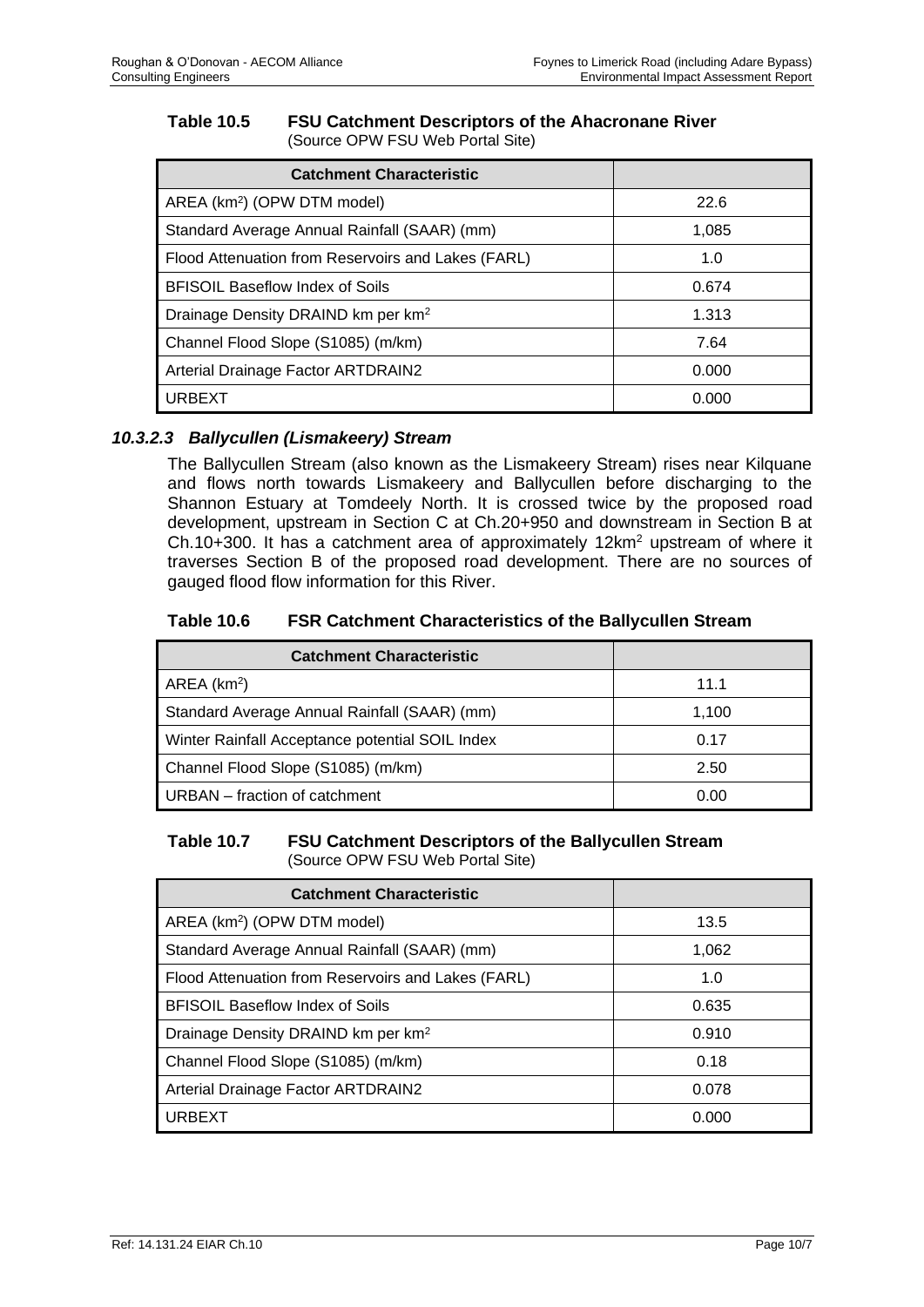#### **Table 10.5 FSU Catchment Descriptors of the Ahacronane River** (Source OPW FSU Web Portal Site)

| <b>Catchment Characteristic</b>                    |       |
|----------------------------------------------------|-------|
| AREA (km <sup>2</sup> ) (OPW DTM model)            | 22.6  |
| Standard Average Annual Rainfall (SAAR) (mm)       | 1.085 |
| Flood Attenuation from Reservoirs and Lakes (FARL) | 1.0   |
| <b>BFISOIL Baseflow Index of Soils</b>             | 0.674 |
| Drainage Density DRAIND km per km <sup>2</sup>     | 1.313 |
| Channel Flood Slope (S1085) (m/km)                 | 7.64  |
| Arterial Drainage Factor ARTDRAIN2                 | 0.000 |
| <b>URBEXT</b>                                      | 0.000 |

# *10.3.2.3 Ballycullen (Lismakeery) Stream*

The Ballycullen Stream (also known as the Lismakeery Stream) rises near Kilquane and flows north towards Lismakeery and Ballycullen before discharging to the Shannon Estuary at Tomdeely North. It is crossed twice by the proposed road development, upstream in Section C at Ch.20+950 and downstream in Section B at Ch.10+300. It has a catchment area of approximately 12km<sup>2</sup> upstream of where it traverses Section B of the proposed road development. There are no sources of gauged flood flow information for this River.

## **Table 10.6 FSR Catchment Characteristics of the Ballycullen Stream**

| <b>Catchment Characteristic</b>                 |       |
|-------------------------------------------------|-------|
| AREA (km <sup>2</sup> )                         | 11.1  |
| Standard Average Annual Rainfall (SAAR) (mm)    | 1,100 |
| Winter Rainfall Acceptance potential SOIL Index | 0.17  |
| Channel Flood Slope (S1085) (m/km)              | 2.50  |
| URBAN – fraction of catchment                   | 0.00  |

#### **Table 10.7 FSU Catchment Descriptors of the Ballycullen Stream** (Source OPW FSU Web Portal Site)

| <b>Catchment Characteristic</b>                    |       |
|----------------------------------------------------|-------|
| AREA (km <sup>2</sup> ) (OPW DTM model)            | 13.5  |
| Standard Average Annual Rainfall (SAAR) (mm)       | 1,062 |
| Flood Attenuation from Reservoirs and Lakes (FARL) | 1.0   |
| <b>BFISOIL Baseflow Index of Soils</b>             | 0.635 |
| Drainage Density DRAIND km per km <sup>2</sup>     | 0.910 |
| Channel Flood Slope (S1085) (m/km)                 | 0.18  |
| <b>Arterial Drainage Factor ARTDRAIN2</b>          | 0.078 |
| URBEXT                                             | 0.000 |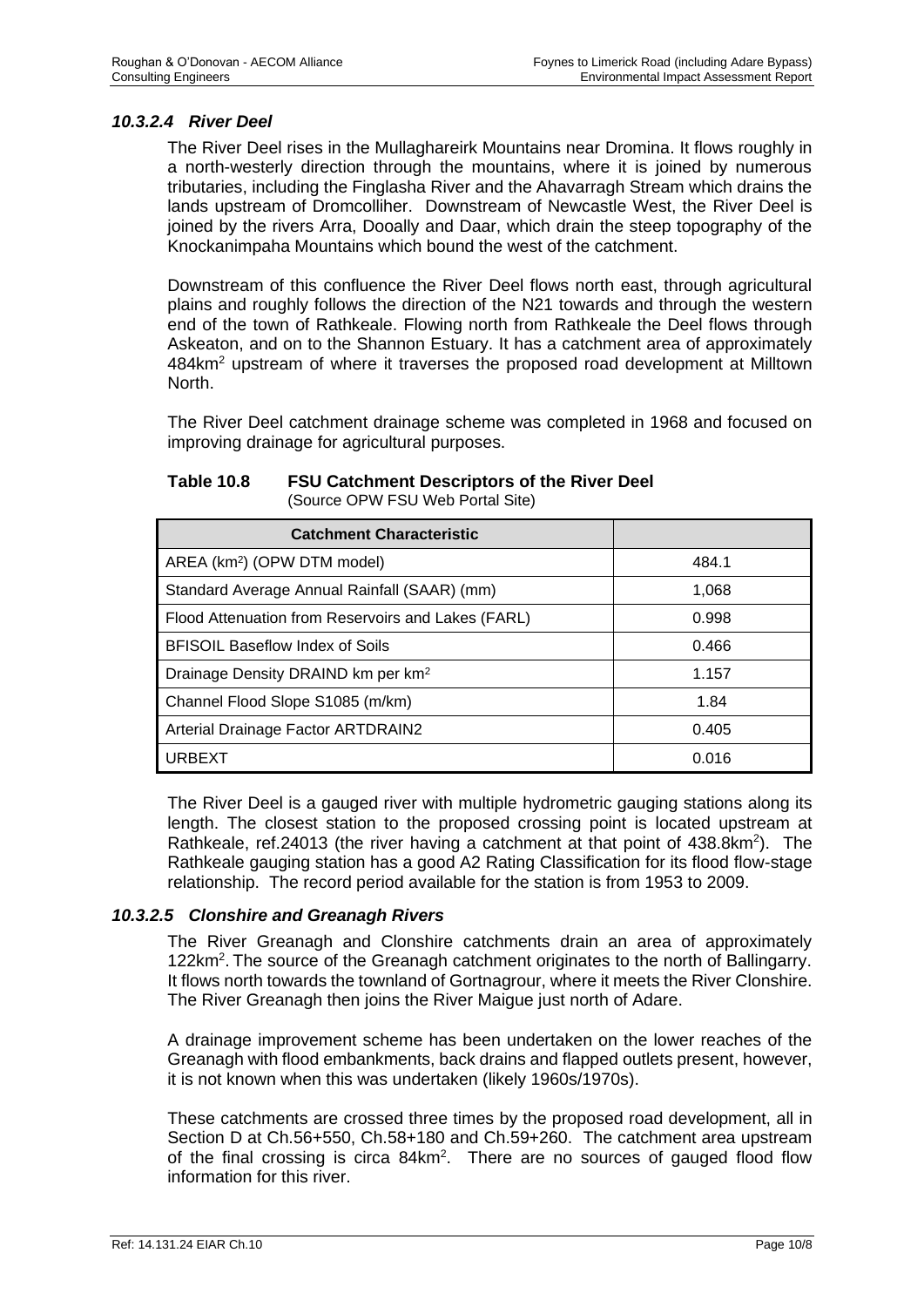#### *10.3.2.4 River Deel*

The River Deel rises in the Mullaghareirk Mountains near Dromina. It flows roughly in a north-westerly direction through the mountains, where it is joined by numerous tributaries, including the Finglasha River and the Ahavarragh Stream which drains the lands upstream of Dromcolliher. Downstream of Newcastle West, the River Deel is joined by the rivers Arra, Dooally and Daar, which drain the steep topography of the Knockanimpaha Mountains which bound the west of the catchment.

Downstream of this confluence the River Deel flows north east, through agricultural plains and roughly follows the direction of the N21 towards and through the western end of the town of Rathkeale. Flowing north from Rathkeale the Deel flows through Askeaton, and on to the Shannon Estuary. It has a catchment area of approximately 484km<sup>2</sup> upstream of where it traverses the proposed road development at Milltown North.

The River Deel catchment drainage scheme was completed in 1968 and focused on improving drainage for agricultural purposes.

#### **Table 10.8 FSU Catchment Descriptors of the River Deel** (Source OPW FSU Web Portal Site)

| <b>Catchment Characteristic</b>                    |       |
|----------------------------------------------------|-------|
| AREA (km <sup>2</sup> ) (OPW DTM model)            | 484.1 |
| Standard Average Annual Rainfall (SAAR) (mm)       | 1,068 |
| Flood Attenuation from Reservoirs and Lakes (FARL) | 0.998 |
| <b>BFISOIL Baseflow Index of Soils</b>             | 0.466 |
| Drainage Density DRAIND km per km <sup>2</sup>     | 1.157 |
| Channel Flood Slope S1085 (m/km)                   | 1.84  |
| <b>Arterial Drainage Factor ARTDRAIN2</b>          | 0.405 |
| <b>URBEXT</b>                                      | 0.016 |

The River Deel is a gauged river with multiple hydrometric gauging stations along its length. The closest station to the proposed crossing point is located upstream at Rathkeale, ref.24013 (the river having a catchment at that point of 438.8km<sup>2</sup>). The Rathkeale gauging station has a good A2 Rating Classification for its flood flow-stage relationship. The record period available for the station is from 1953 to 2009.

#### *10.3.2.5 Clonshire and Greanagh Rivers*

The River Greanagh and Clonshire catchments drain an area of approximately 122km<sup>2</sup>. The source of the Greanagh catchment originates to the north of Ballingarry. It flows north towards the townland of Gortnagrour, where it meets the River Clonshire. The River Greanagh then joins the River Maigue just north of Adare.

A drainage improvement scheme has been undertaken on the lower reaches of the Greanagh with flood embankments, back drains and flapped outlets present, however, it is not known when this was undertaken (likely 1960s/1970s).

These catchments are crossed three times by the proposed road development, all in Section D at Ch.56+550, Ch.58+180 and Ch.59+260. The catchment area upstream of the final crossing is circa 84km<sup>2</sup>. There are no sources of gauged flood flow information for this river.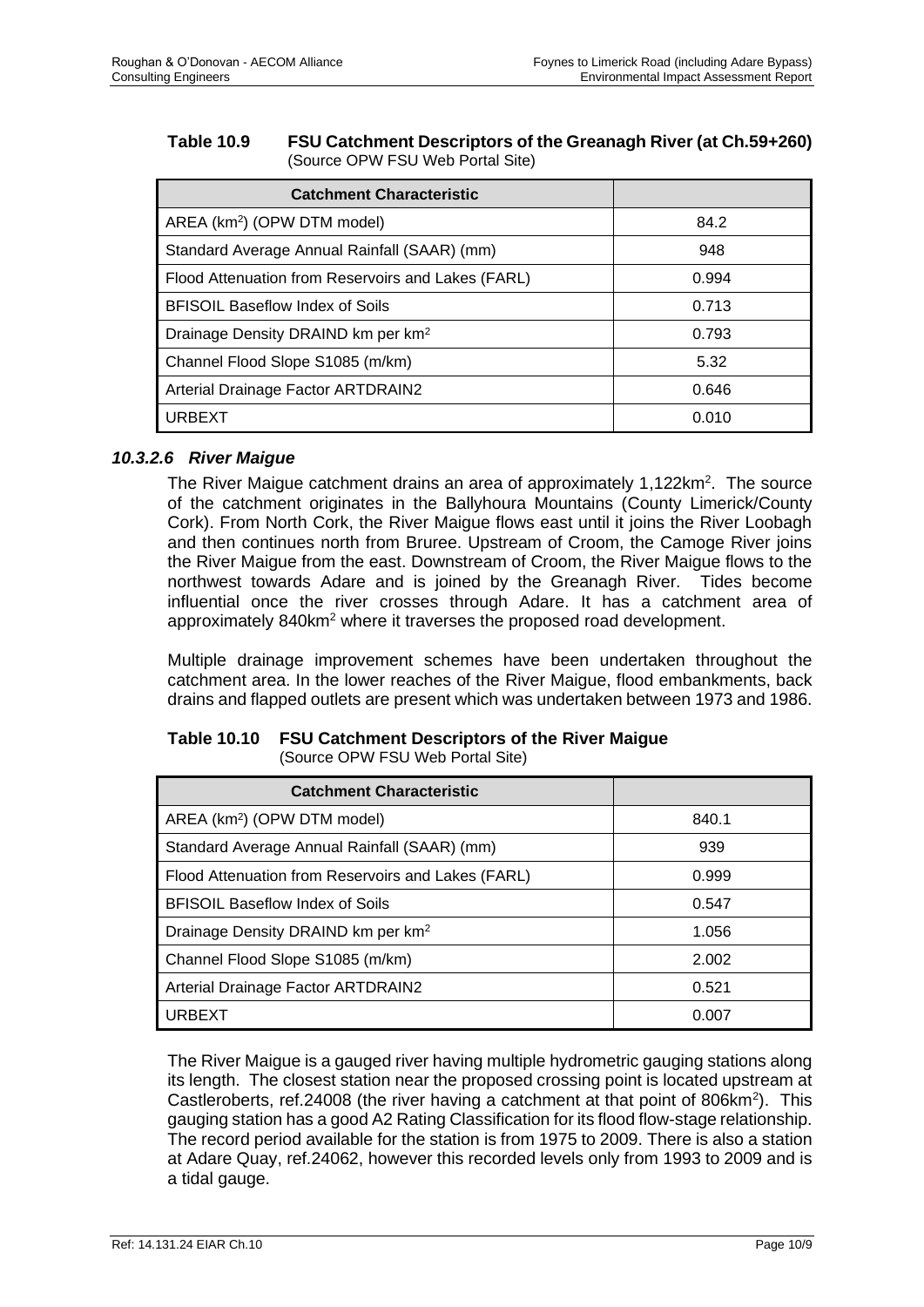#### **Table 10.9 FSU Catchment Descriptors of the Greanagh River (at Ch.59+260)** (Source OPW FSU Web Portal Site)

| <b>Catchment Characteristic</b>                    |       |
|----------------------------------------------------|-------|
| AREA (km <sup>2</sup> ) (OPW DTM model)            | 84.2  |
| Standard Average Annual Rainfall (SAAR) (mm)       | 948   |
| Flood Attenuation from Reservoirs and Lakes (FARL) | 0.994 |
| <b>BFISOIL Baseflow Index of Soils</b>             | 0.713 |
| Drainage Density DRAIND km per km <sup>2</sup>     | 0.793 |
| Channel Flood Slope S1085 (m/km)                   | 5.32  |
| <b>Arterial Drainage Factor ARTDRAIN2</b>          | 0.646 |
| <b>URBEXT</b>                                      | 0.010 |

## *10.3.2.6 River Maigue*

The River Maigue catchment drains an area of approximately 1,122km<sup>2</sup>. The source of the catchment originates in the Ballyhoura Mountains (County Limerick/County Cork). From North Cork, the River Maigue flows east until it joins the River Loobagh and then continues north from Bruree. Upstream of Croom, the Camoge River joins the River Maigue from the east. Downstream of Croom, the River Maigue flows to the northwest towards Adare and is joined by the Greanagh River. Tides become influential once the river crosses through Adare. It has a catchment area of approximately 840km<sup>2</sup> where it traverses the proposed road development.

Multiple drainage improvement schemes have been undertaken throughout the catchment area. In the lower reaches of the River Maigue, flood embankments, back drains and flapped outlets are present which was undertaken between 1973 and 1986.

# **Table 10.10 FSU Catchment Descriptors of the River Maigue**

(Source OPW FSU Web Portal Site)

| <b>Catchment Characteristic</b>                    |       |
|----------------------------------------------------|-------|
| AREA (km <sup>2</sup> ) (OPW DTM model)            | 840.1 |
| Standard Average Annual Rainfall (SAAR) (mm)       | 939   |
| Flood Attenuation from Reservoirs and Lakes (FARL) | 0.999 |
| <b>BFISOIL Baseflow Index of Soils</b>             | 0.547 |
| Drainage Density DRAIND km per km <sup>2</sup>     | 1.056 |
| Channel Flood Slope S1085 (m/km)                   | 2.002 |
| Arterial Drainage Factor ARTDRAIN2                 | 0.521 |
| <b>URBEXT</b>                                      | 0.007 |

The River Maigue is a gauged river having multiple hydrometric gauging stations along its length. The closest station near the proposed crossing point is located upstream at Castleroberts, ref.24008 (the river having a catchment at that point of 806km<sup>2</sup>). This gauging station has a good A2 Rating Classification for its flood flow-stage relationship. The record period available for the station is from 1975 to 2009. There is also a station at Adare Quay, ref.24062, however this recorded levels only from 1993 to 2009 and is a tidal gauge.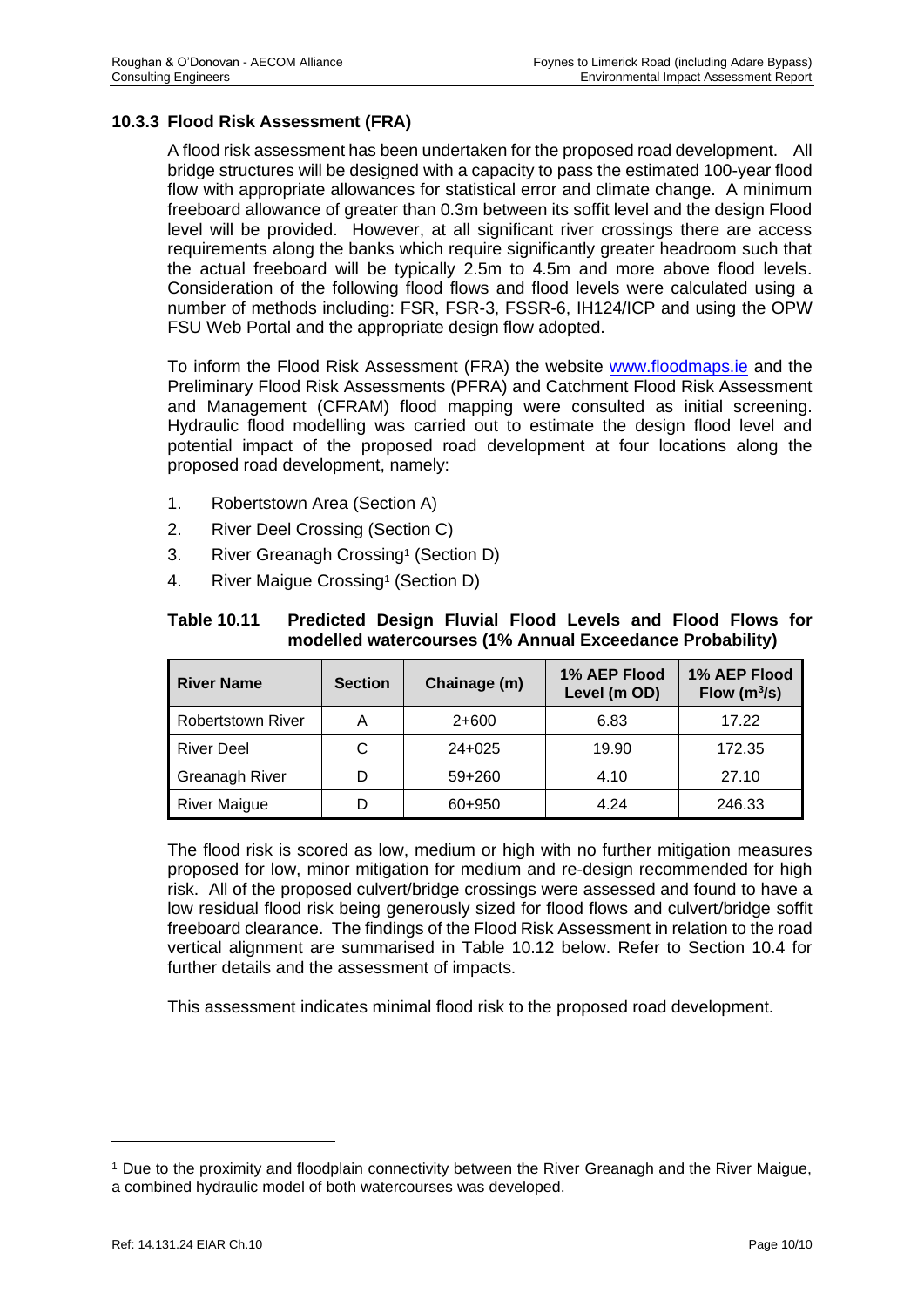## **10.3.3 Flood Risk Assessment (FRA)**

A flood risk assessment has been undertaken for the proposed road development. All bridge structures will be designed with a capacity to pass the estimated 100-year flood flow with appropriate allowances for statistical error and climate change. A minimum freeboard allowance of greater than 0.3m between its soffit level and the design Flood level will be provided. However, at all significant river crossings there are access requirements along the banks which require significantly greater headroom such that the actual freeboard will be typically 2.5m to 4.5m and more above flood levels. Consideration of the following flood flows and flood levels were calculated using a number of methods including: FSR, FSR-3, FSSR-6, IH124/ICP and using the OPW FSU Web Portal and the appropriate design flow adopted.

To inform the Flood Risk Assessment (FRA) the website [www.floodmaps.ie](http://www.floodmaps.ie/) and the Preliminary Flood Risk Assessments (PFRA) and Catchment Flood Risk Assessment and Management (CFRAM) flood mapping were consulted as initial screening. Hydraulic flood modelling was carried out to estimate the design flood level and potential impact of the proposed road development at four locations along the proposed road development, namely:

- 1. Robertstown Area (Section A)
- 2. River Deel Crossing (Section C)
- <span id="page-10-0"></span>3. River Greanagh Crossing<sup>1</sup> (Section D)
- 4. River Mai[g](#page-10-0)ue Crossing<sup>1</sup> (Section D)

| <b>Table 10.11</b> | Predicted Design Fluvial Flood Levels and Flood Flows for |
|--------------------|-----------------------------------------------------------|
|                    | modelled watercourses (1% Annual Exceedance Probability)  |

| <b>River Name</b>        | <b>Section</b> | Chainage (m) | 1% AEP Flood<br>Level (m OD) | 1% AEP Flood<br>Flow $(m^3/s)$ |  |
|--------------------------|----------------|--------------|------------------------------|--------------------------------|--|
| <b>Robertstown River</b> | А              | $2+600$      | 6.83                         | 17.22                          |  |
| <b>River Deel</b>        | C              | $24+025$     | 19.90                        | 172.35                         |  |
| <b>Greanagh River</b>    |                | $59+260$     | 4.10                         | 27.10                          |  |
| <b>River Maigue</b>      |                | 60+950       | 4.24                         | 246.33                         |  |

The flood risk is scored as low, medium or high with no further mitigation measures proposed for low, minor mitigation for medium and re-design recommended for high risk. All of the proposed culvert/bridge crossings were assessed and found to have a low residual flood risk being generously sized for flood flows and culvert/bridge soffit freeboard clearance. The findings of the Flood Risk Assessment in relation to the road vertical alignment are summarised in Table 10.12 below. Refer to Section 10.4 for further details and the assessment of impacts.

This assessment indicates minimal flood risk to the proposed road development.

<sup>1</sup> Due to the proximity and floodplain connectivity between the River Greanagh and the River Maigue, a combined hydraulic model of both watercourses was developed.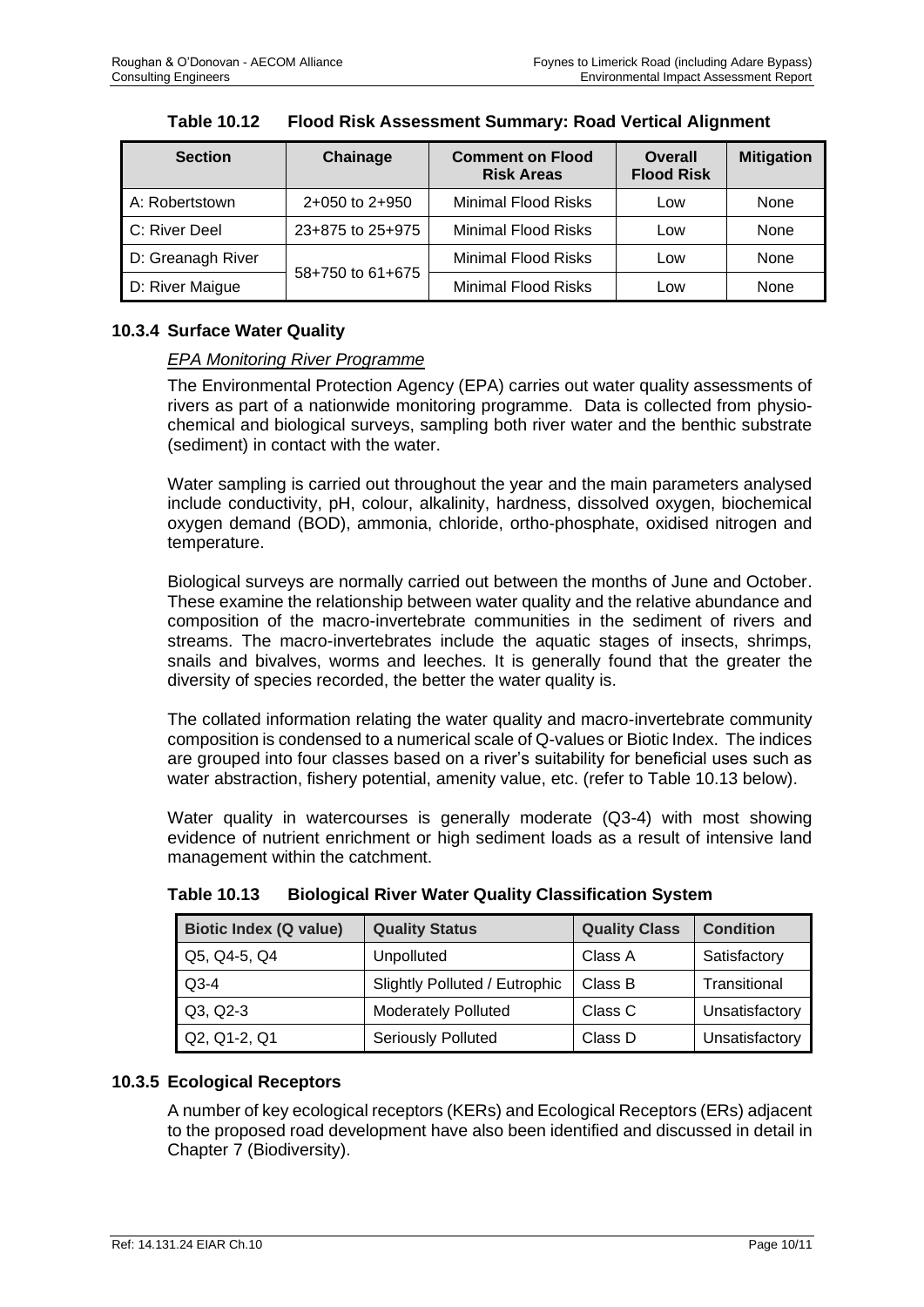| <b>Section</b>    | Chainage           | <b>Comment on Flood</b><br><b>Risk Areas</b> | <b>Overall</b><br><b>Flood Risk</b> | <b>Mitigation</b> |
|-------------------|--------------------|----------------------------------------------|-------------------------------------|-------------------|
| A: Robertstown    | $2+050$ to $2+950$ | <b>Minimal Flood Risks</b>                   | Low                                 | None              |
| C: River Deel     | 23+875 to 25+975   | <b>Minimal Flood Risks</b>                   | Low                                 | None              |
| D: Greanagh River |                    |                                              | Low                                 | None              |
| D: River Maigue   | 58+750 to 61+675   | <b>Minimal Flood Risks</b>                   | Low                                 | None              |

**Table 10.12 Flood Risk Assessment Summary: Road Vertical Alignment**

# **10.3.4 Surface Water Quality**

## *EPA Monitoring River Programme*

The Environmental Protection Agency (EPA) carries out water quality assessments of rivers as part of a nationwide monitoring programme. Data is collected from physiochemical and biological surveys, sampling both river water and the benthic substrate (sediment) in contact with the water.

Water sampling is carried out throughout the year and the main parameters analysed include conductivity, pH, colour, alkalinity, hardness, dissolved oxygen, biochemical oxygen demand (BOD), ammonia, chloride, ortho-phosphate, oxidised nitrogen and temperature.

Biological surveys are normally carried out between the months of June and October. These examine the relationship between water quality and the relative abundance and composition of the macro-invertebrate communities in the sediment of rivers and streams. The macro-invertebrates include the aquatic stages of insects, shrimps, snails and bivalves, worms and leeches. It is generally found that the greater the diversity of species recorded, the better the water quality is.

The collated information relating the water quality and macro-invertebrate community composition is condensed to a numerical scale of Q-values or Biotic Index. The indices are grouped into four classes based on a river's suitability for beneficial uses such as water abstraction, fishery potential, amenity value, etc. (refer to Table 10.13 below).

Water quality in watercourses is generally moderate (Q3-4) with most showing evidence of nutrient enrichment or high sediment loads as a result of intensive land management within the catchment.

| <b>Biotic Index (Q value)</b> | <b>Quality Status</b>         | <b>Quality Class</b> | <b>Condition</b> |
|-------------------------------|-------------------------------|----------------------|------------------|
| Q5, Q4-5, Q4                  | Unpolluted                    | Class A              | Satisfactory     |
| $Q3-4$                        | Slightly Polluted / Eutrophic | Class B              | Transitional     |
| Q3, Q2-3                      | <b>Moderately Polluted</b>    | Class C              | Unsatisfactory   |
| Q2, Q1-2, Q1                  | <b>Seriously Polluted</b>     | Class D              | Unsatisfactory   |

**Table 10.13 Biological River Water Quality Classification System**

# **10.3.5 Ecological Receptors**

A number of key ecological receptors (KERs) and Ecological Receptors (ERs) adjacent to the proposed road development have also been identified and discussed in detail in Chapter 7 (Biodiversity).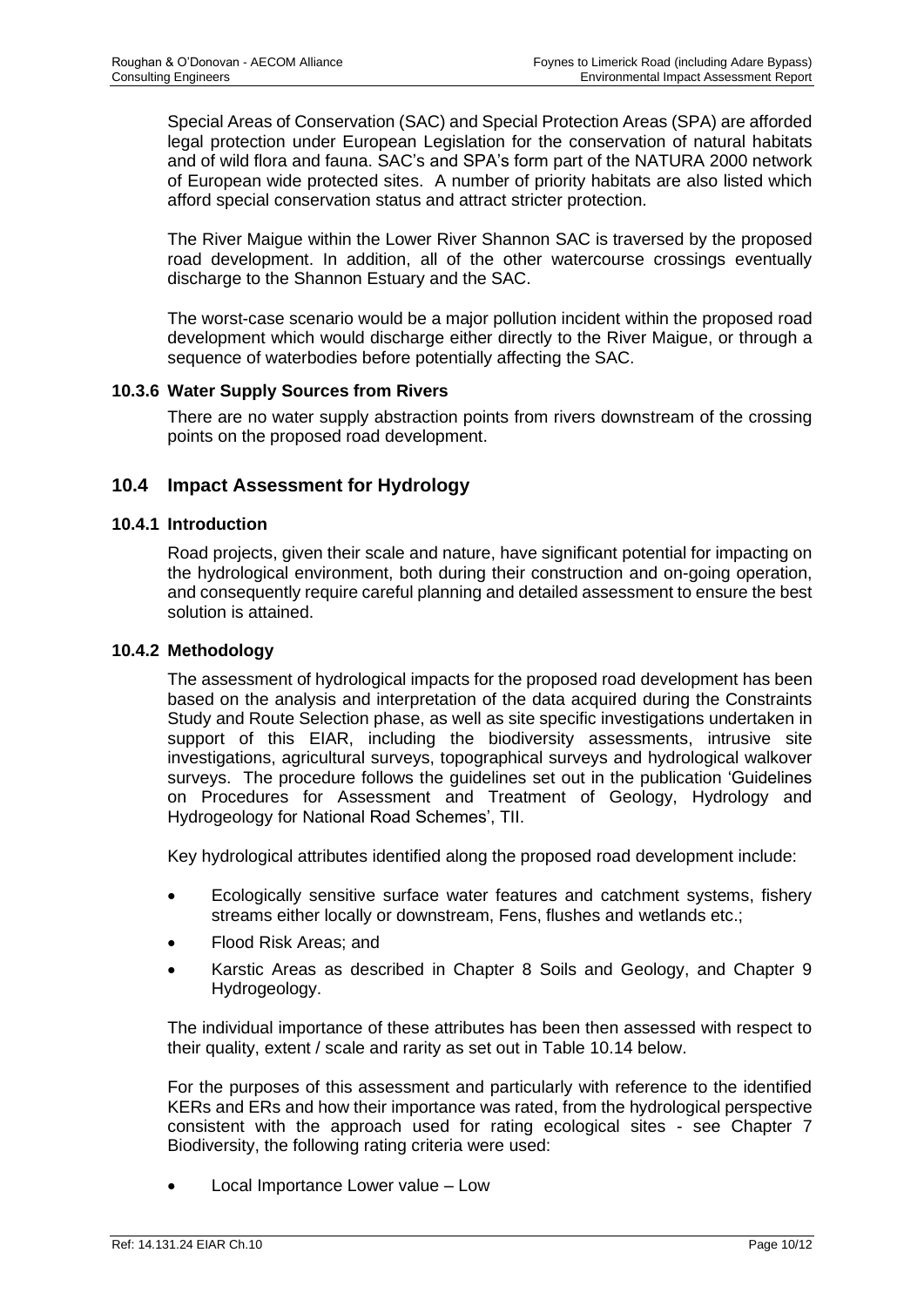Special Areas of Conservation (SAC) and Special Protection Areas (SPA) are afforded legal protection under European Legislation for the conservation of natural habitats and of wild flora and fauna. SAC's and SPA's form part of the NATURA 2000 network of European wide protected sites. A number of priority habitats are also listed which afford special conservation status and attract stricter protection.

The River Maigue within the Lower River Shannon SAC is traversed by the proposed road development. In addition, all of the other watercourse crossings eventually discharge to the Shannon Estuary and the SAC.

The worst-case scenario would be a major pollution incident within the proposed road development which would discharge either directly to the River Maigue, or through a sequence of waterbodies before potentially affecting the SAC.

## **10.3.6 Water Supply Sources from Rivers**

There are no water supply abstraction points from rivers downstream of the crossing points on the proposed road development.

# **10.4 Impact Assessment for Hydrology**

#### **10.4.1 Introduction**

Road projects, given their scale and nature, have significant potential for impacting on the hydrological environment, both during their construction and on-going operation, and consequently require careful planning and detailed assessment to ensure the best solution is attained.

#### **10.4.2 Methodology**

The assessment of hydrological impacts for the proposed road development has been based on the analysis and interpretation of the data acquired during the Constraints Study and Route Selection phase, as well as site specific investigations undertaken in support of this EIAR, including the biodiversity assessments, intrusive site investigations, agricultural surveys, topographical surveys and hydrological walkover surveys. The procedure follows the guidelines set out in the publication 'Guidelines on Procedures for Assessment and Treatment of Geology, Hydrology and Hydrogeology for National Road Schemes', TII.

Key hydrological attributes identified along the proposed road development include:

- Ecologically sensitive surface water features and catchment systems, fishery streams either locally or downstream, Fens, flushes and wetlands etc.;
- Flood Risk Areas; and
- Karstic Areas as described in Chapter 8 Soils and Geology, and Chapter 9 Hydrogeology.

The individual importance of these attributes has been then assessed with respect to their quality, extent / scale and rarity as set out in Table 10.14 below.

For the purposes of this assessment and particularly with reference to the identified KERs and ERs and how their importance was rated, from the hydrological perspective consistent with the approach used for rating ecological sites - see Chapter 7 Biodiversity, the following rating criteria were used:

• Local Importance Lower value – Low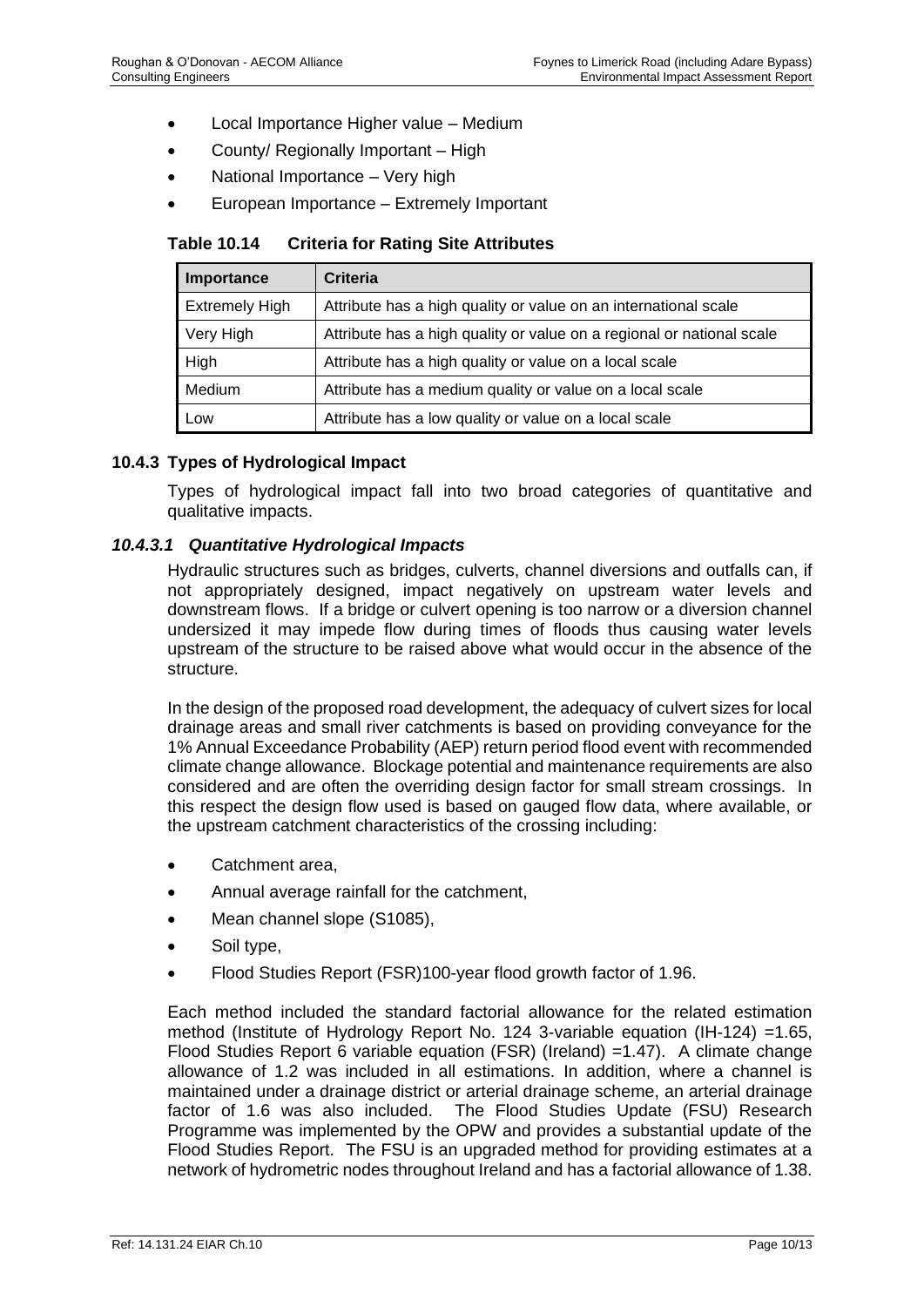- Local Importance Higher value Medium
- County/ Regionally Important High
- National Importance Very high
- European Importance Extremely Important

**Table 10.14 Criteria for Rating Site Attributes**

| Importance            | <b>Criteria</b>                                                       |
|-----------------------|-----------------------------------------------------------------------|
| <b>Extremely High</b> | Attribute has a high quality or value on an international scale       |
| Very High             | Attribute has a high quality or value on a regional or national scale |
| High                  | Attribute has a high quality or value on a local scale                |
| Medium                | Attribute has a medium quality or value on a local scale              |
| Low                   | Attribute has a low quality or value on a local scale                 |

#### **10.4.3 Types of Hydrological Impact**

Types of hydrological impact fall into two broad categories of quantitative and qualitative impacts.

#### *10.4.3.1 Quantitative Hydrological Impacts*

Hydraulic structures such as bridges, culverts, channel diversions and outfalls can, if not appropriately designed, impact negatively on upstream water levels and downstream flows. If a bridge or culvert opening is too narrow or a diversion channel undersized it may impede flow during times of floods thus causing water levels upstream of the structure to be raised above what would occur in the absence of the structure.

In the design of the proposed road development, the adequacy of culvert sizes for local drainage areas and small river catchments is based on providing conveyance for the 1% Annual Exceedance Probability (AEP) return period flood event with recommended climate change allowance. Blockage potential and maintenance requirements are also considered and are often the overriding design factor for small stream crossings. In this respect the design flow used is based on gauged flow data, where available, or the upstream catchment characteristics of the crossing including:

- Catchment area,
- Annual average rainfall for the catchment,
- Mean channel slope (S1085),
- Soil type,
- Flood Studies Report (FSR)100-year flood growth factor of 1.96.

Each method included the standard factorial allowance for the related estimation method (Institute of Hydrology Report No. 124 3-variable equation (IH-124) =1.65, Flood Studies Report 6 variable equation (FSR) (Ireland) =1.47). A climate change allowance of 1.2 was included in all estimations. In addition, where a channel is maintained under a drainage district or arterial drainage scheme, an arterial drainage factor of 1.6 was also included. The Flood Studies Update (FSU) Research Programme was implemented by the OPW and provides a substantial update of the Flood Studies Report. The FSU is an upgraded method for providing estimates at a network of hydrometric nodes throughout Ireland and has a factorial allowance of 1.38.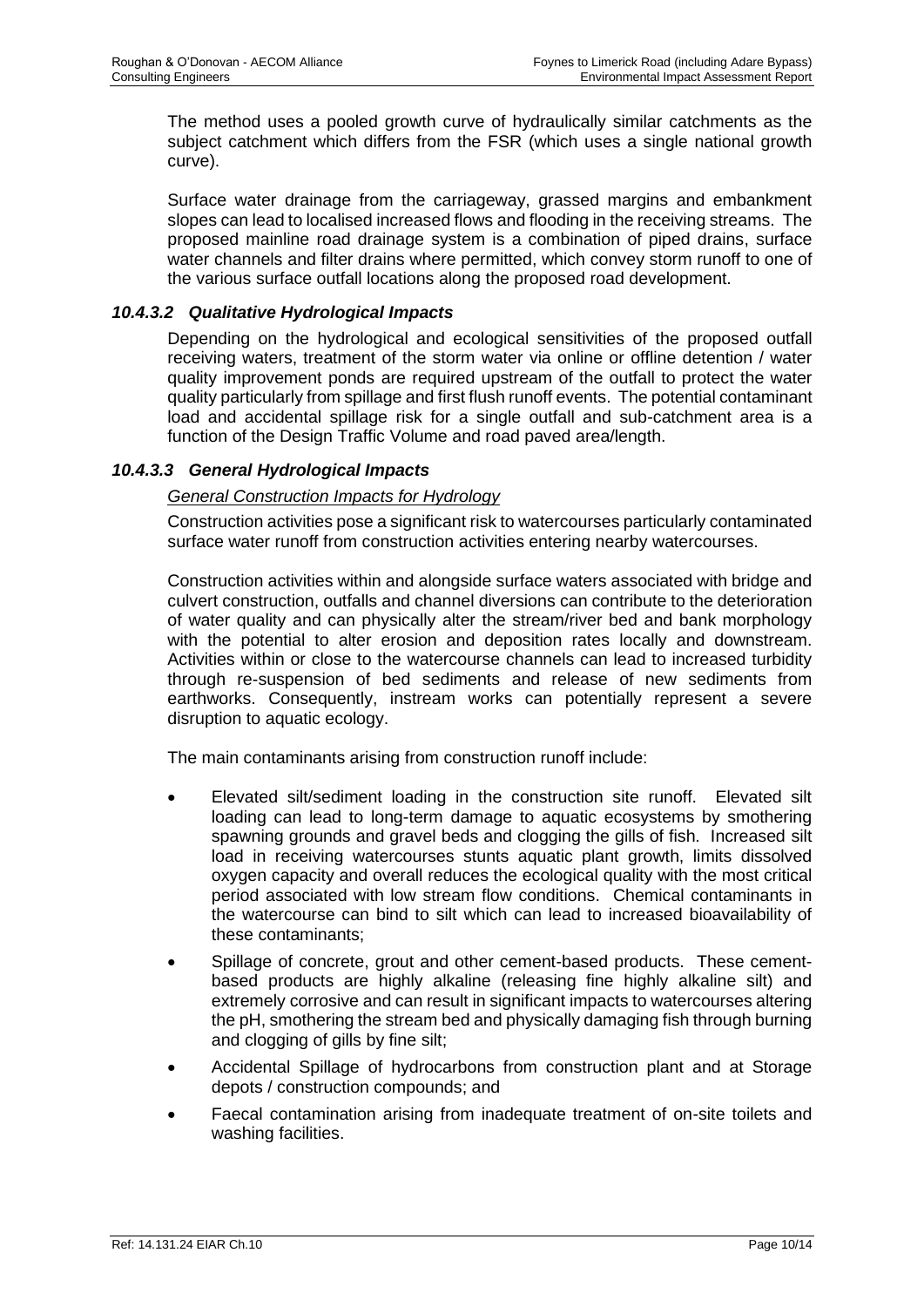The method uses a pooled growth curve of hydraulically similar catchments as the subject catchment which differs from the FSR (which uses a single national growth curve).

Surface water drainage from the carriageway, grassed margins and embankment slopes can lead to localised increased flows and flooding in the receiving streams. The proposed mainline road drainage system is a combination of piped drains, surface water channels and filter drains where permitted, which convey storm runoff to one of the various surface outfall locations along the proposed road development.

#### *10.4.3.2 Qualitative Hydrological Impacts*

Depending on the hydrological and ecological sensitivities of the proposed outfall receiving waters, treatment of the storm water via online or offline detention / water quality improvement ponds are required upstream of the outfall to protect the water quality particularly from spillage and first flush runoff events. The potential contaminant load and accidental spillage risk for a single outfall and sub-catchment area is a function of the Design Traffic Volume and road paved area/length.

## *10.4.3.3 General Hydrological Impacts*

## *General Construction Impacts for Hydrology*

Construction activities pose a significant risk to watercourses particularly contaminated surface water runoff from construction activities entering nearby watercourses.

Construction activities within and alongside surface waters associated with bridge and culvert construction, outfalls and channel diversions can contribute to the deterioration of water quality and can physically alter the stream/river bed and bank morphology with the potential to alter erosion and deposition rates locally and downstream. Activities within or close to the watercourse channels can lead to increased turbidity through re-suspension of bed sediments and release of new sediments from earthworks. Consequently, instream works can potentially represent a severe disruption to aquatic ecology.

The main contaminants arising from construction runoff include:

- Elevated silt/sediment loading in the construction site runoff. Elevated silt loading can lead to long-term damage to aquatic ecosystems by smothering spawning grounds and gravel beds and clogging the gills of fish. Increased silt load in receiving watercourses stunts aquatic plant growth, limits dissolved oxygen capacity and overall reduces the ecological quality with the most critical period associated with low stream flow conditions. Chemical contaminants in the watercourse can bind to silt which can lead to increased bioavailability of these contaminants;
- Spillage of concrete, grout and other cement-based products. These cementbased products are highly alkaline (releasing fine highly alkaline silt) and extremely corrosive and can result in significant impacts to watercourses altering the pH, smothering the stream bed and physically damaging fish through burning and clogging of gills by fine silt;
- Accidental Spillage of hydrocarbons from construction plant and at Storage depots / construction compounds; and
- Faecal contamination arising from inadequate treatment of on-site toilets and washing facilities.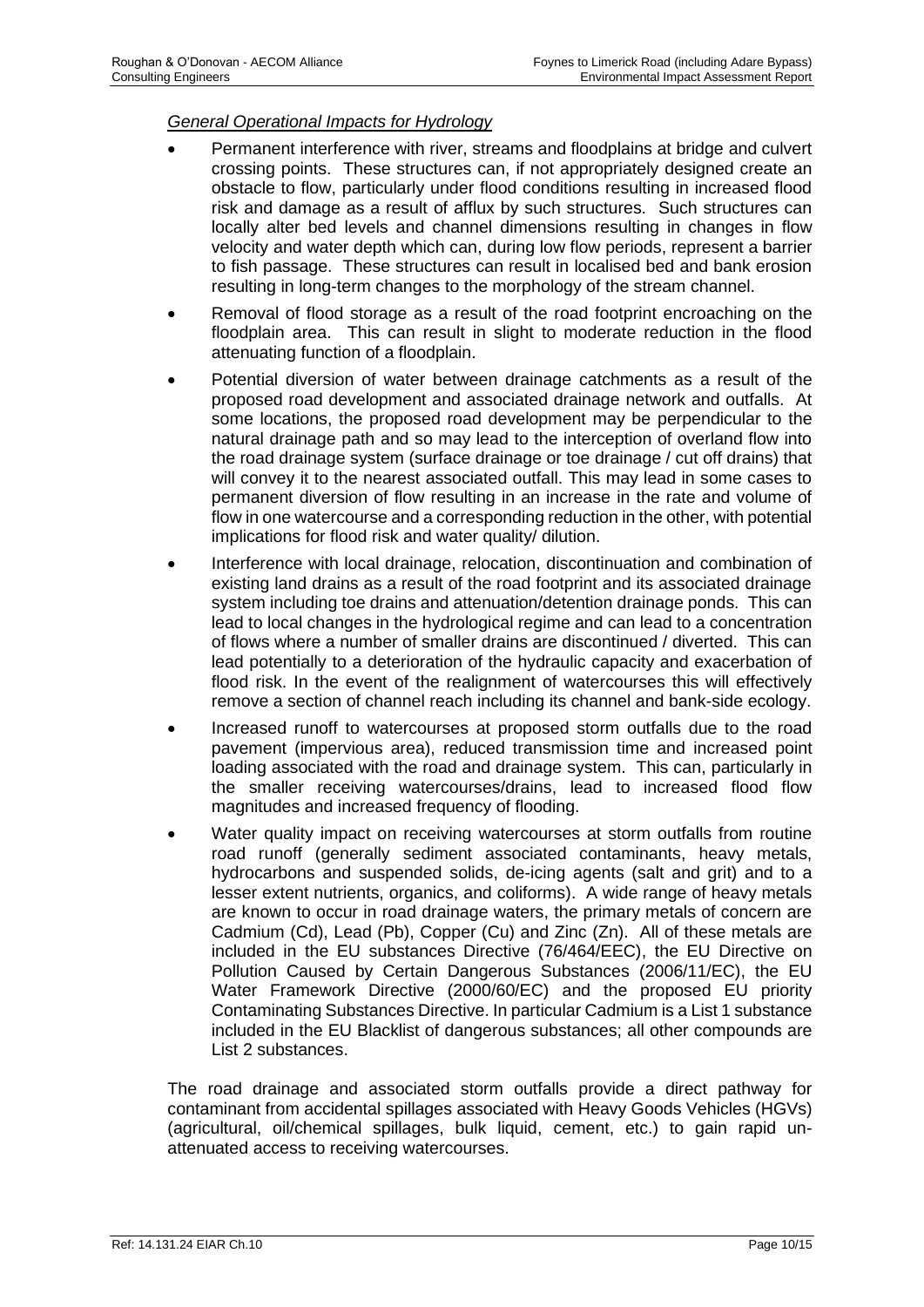#### *General Operational Impacts for Hydrology*

- Permanent interference with river, streams and floodplains at bridge and culvert crossing points. These structures can, if not appropriately designed create an obstacle to flow, particularly under flood conditions resulting in increased flood risk and damage as a result of afflux by such structures. Such structures can locally alter bed levels and channel dimensions resulting in changes in flow velocity and water depth which can, during low flow periods, represent a barrier to fish passage. These structures can result in localised bed and bank erosion resulting in long-term changes to the morphology of the stream channel.
- Removal of flood storage as a result of the road footprint encroaching on the floodplain area. This can result in slight to moderate reduction in the flood attenuating function of a floodplain.
- Potential diversion of water between drainage catchments as a result of the proposed road development and associated drainage network and outfalls. At some locations, the proposed road development may be perpendicular to the natural drainage path and so may lead to the interception of overland flow into the road drainage system (surface drainage or toe drainage / cut off drains) that will convey it to the nearest associated outfall. This may lead in some cases to permanent diversion of flow resulting in an increase in the rate and volume of flow in one watercourse and a corresponding reduction in the other, with potential implications for flood risk and water quality/ dilution.
- Interference with local drainage, relocation, discontinuation and combination of existing land drains as a result of the road footprint and its associated drainage system including toe drains and attenuation/detention drainage ponds. This can lead to local changes in the hydrological regime and can lead to a concentration of flows where a number of smaller drains are discontinued / diverted. This can lead potentially to a deterioration of the hydraulic capacity and exacerbation of flood risk. In the event of the realignment of watercourses this will effectively remove a section of channel reach including its channel and bank-side ecology.
- Increased runoff to watercourses at proposed storm outfalls due to the road pavement (impervious area), reduced transmission time and increased point loading associated with the road and drainage system. This can, particularly in the smaller receiving watercourses/drains, lead to increased flood flow magnitudes and increased frequency of flooding.
- Water quality impact on receiving watercourses at storm outfalls from routine road runoff (generally sediment associated contaminants, heavy metals, hydrocarbons and suspended solids, de-icing agents (salt and grit) and to a lesser extent nutrients, organics, and coliforms). A wide range of heavy metals are known to occur in road drainage waters, the primary metals of concern are Cadmium (Cd), Lead (Pb), Copper (Cu) and Zinc (Zn). All of these metals are included in the EU substances Directive (76/464/EEC), the EU Directive on Pollution Caused by Certain Dangerous Substances (2006/11/EC), the EU Water Framework Directive (2000/60/EC) and the proposed EU priority Contaminating Substances Directive. In particular Cadmium is a List 1 substance included in the EU Blacklist of dangerous substances; all other compounds are List 2 substances.

The road drainage and associated storm outfalls provide a direct pathway for contaminant from accidental spillages associated with Heavy Goods Vehicles (HGVs) (agricultural, oil/chemical spillages, bulk liquid, cement, etc.) to gain rapid unattenuated access to receiving watercourses.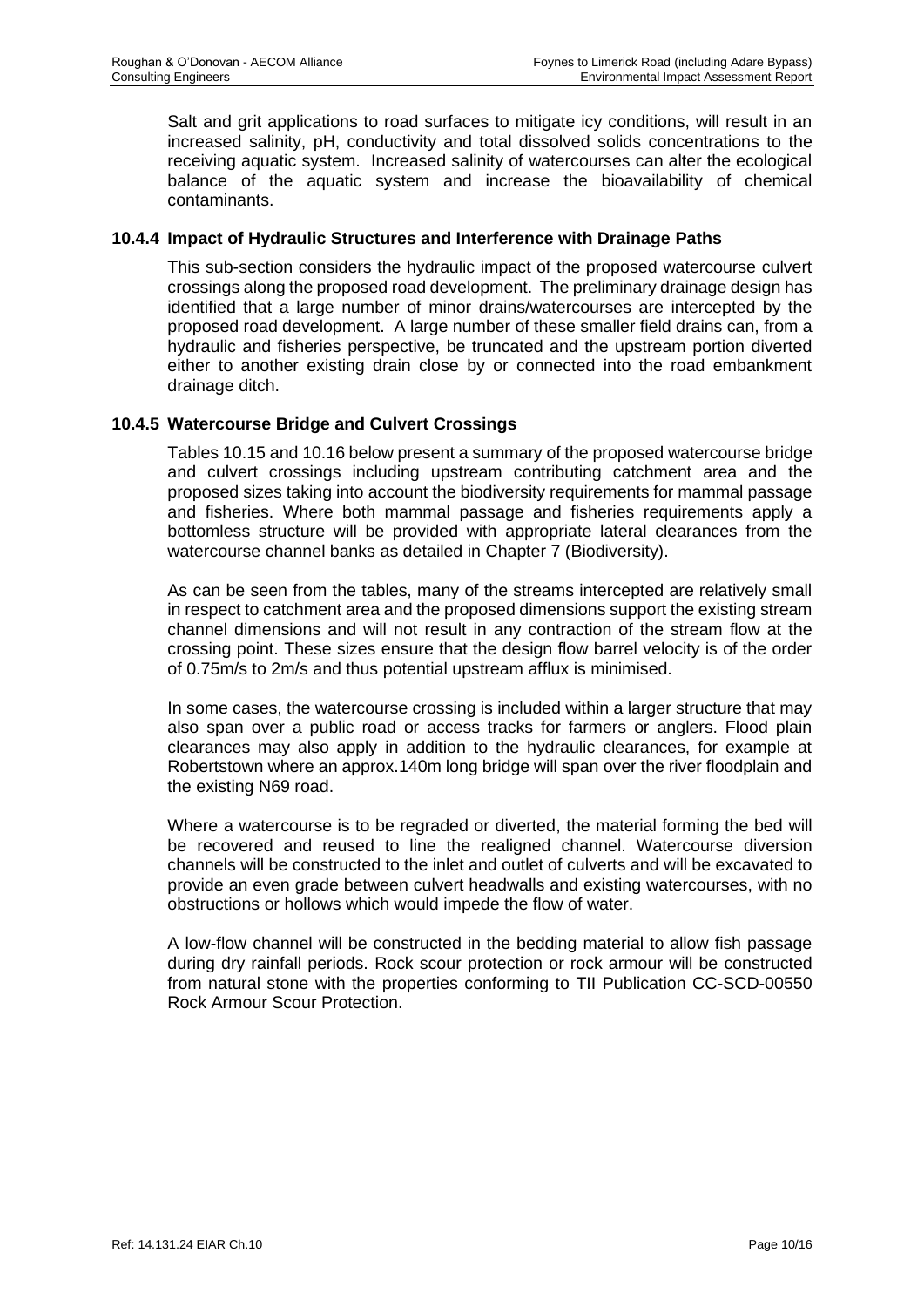Salt and grit applications to road surfaces to mitigate icy conditions, will result in an increased salinity, pH, conductivity and total dissolved solids concentrations to the receiving aquatic system. Increased salinity of watercourses can alter the ecological balance of the aquatic system and increase the bioavailability of chemical contaminants.

#### **10.4.4 Impact of Hydraulic Structures and Interference with Drainage Paths**

This sub-section considers the hydraulic impact of the proposed watercourse culvert crossings along the proposed road development. The preliminary drainage design has identified that a large number of minor drains/watercourses are intercepted by the proposed road development. A large number of these smaller field drains can, from a hydraulic and fisheries perspective, be truncated and the upstream portion diverted either to another existing drain close by or connected into the road embankment drainage ditch.

## **10.4.5 Watercourse Bridge and Culvert Crossings**

Tables 10.15 and 10.16 below present a summary of the proposed watercourse bridge and culvert crossings including upstream contributing catchment area and the proposed sizes taking into account the biodiversity requirements for mammal passage and fisheries. Where both mammal passage and fisheries requirements apply a bottomless structure will be provided with appropriate lateral clearances from the watercourse channel banks as detailed in Chapter 7 (Biodiversity).

As can be seen from the tables, many of the streams intercepted are relatively small in respect to catchment area and the proposed dimensions support the existing stream channel dimensions and will not result in any contraction of the stream flow at the crossing point. These sizes ensure that the design flow barrel velocity is of the order of 0.75m/s to 2m/s and thus potential upstream afflux is minimised.

In some cases, the watercourse crossing is included within a larger structure that may also span over a public road or access tracks for farmers or anglers. Flood plain clearances may also apply in addition to the hydraulic clearances, for example at Robertstown where an approx.140m long bridge will span over the river floodplain and the existing N69 road.

Where a watercourse is to be regraded or diverted, the material forming the bed will be recovered and reused to line the realigned channel. Watercourse diversion channels will be constructed to the inlet and outlet of culverts and will be excavated to provide an even grade between culvert headwalls and existing watercourses, with no obstructions or hollows which would impede the flow of water.

A low-flow channel will be constructed in the bedding material to allow fish passage during dry rainfall periods. Rock scour protection or rock armour will be constructed from natural stone with the properties conforming to TII Publication CC-SCD-00550 Rock Armour Scour Protection.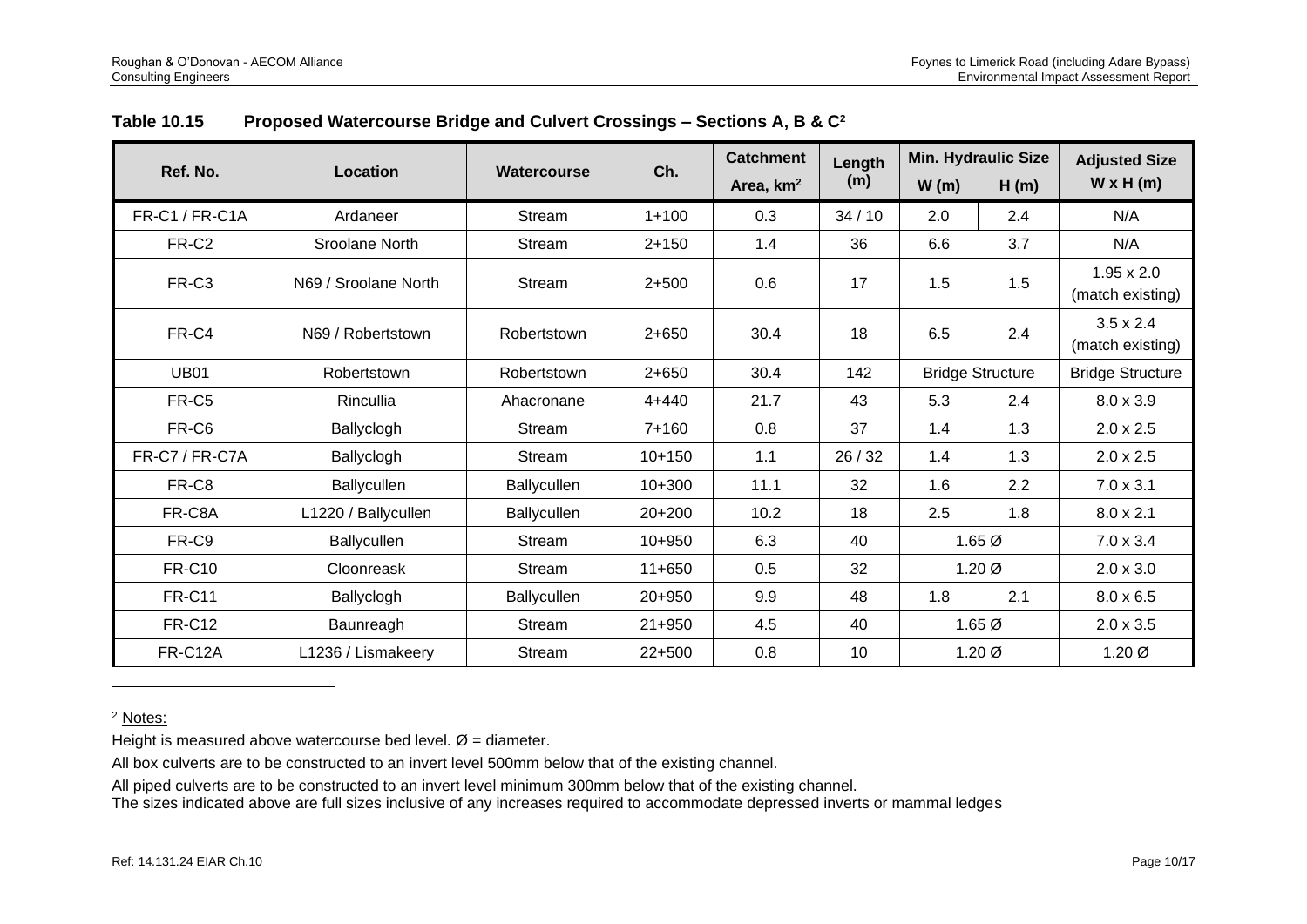<span id="page-17-0"></span>

|                       |                                                                |                    |            | <b>Catchment</b> | Length       | <b>Min. Hydraulic Size</b> |                   | <b>Adjusted Size</b>                  |
|-----------------------|----------------------------------------------------------------|--------------------|------------|------------------|--------------|----------------------------|-------------------|---------------------------------------|
| Ref. No.              | <b>Location</b><br>Ch.<br>Watercourse<br>Area, km <sup>2</sup> |                    |            | (m)              | W(m)<br>H(m) |                            | $W \times H(m)$   |                                       |
| FR-C1 / FR-C1A        | Ardaneer                                                       | Stream             | $1 + 100$  | 0.3              | 34/10        | 2.0                        | 2.4               | N/A                                   |
| FR-C <sub>2</sub>     | Sroolane North                                                 | Stream             | $2 + 150$  | 1.4              | 36           | 6.6                        | 3.7               | N/A                                   |
| FR-C3                 | N69 / Sroolane North                                           | Stream             | $2+500$    | 0.6              | 17           | 1.5                        | 1.5               | $1.95 \times 2.0$<br>(match existing) |
| FR-C4                 | N69 / Robertstown                                              | Robertstown        | $2 + 650$  | 30.4             | 18           | 6.5                        | 2.4               | $3.5 \times 2.4$<br>(match existing)  |
| <b>UB01</b>           | Robertstown                                                    | Robertstown        | $2 + 650$  | 30.4             | 142          | <b>Bridge Structure</b>    |                   | <b>Bridge Structure</b>               |
| FR-C5                 | Rincullia                                                      | Ahacronane         | $4 + 440$  | 21.7             | 43           | 5.3                        | 2.4               | $8.0 \times 3.9$                      |
| FR-C6                 | Ballyclogh                                                     | Stream             | $7+160$    | 0.8              | 37           | 1.4                        | 1.3               | $2.0 \times 2.5$                      |
| <b>FR-C7 / FR-C7A</b> | Ballyclogh                                                     | Stream             | $10+150$   | 1.1              | 26/32        | 1.4                        | 1.3               | $2.0 \times 2.5$                      |
| FR-C8                 | Ballycullen                                                    | Ballycullen        | $10+300$   | 11.1             | 32           | 1.6                        | 2.2               | $7.0 \times 3.1$                      |
| FR-C8A                | L1220 / Ballycullen                                            | Ballycullen        | $20+200$   | 10.2             | 18           | 2.5                        | 1.8               | $8.0 \times 2.1$                      |
| FR-C9                 | Ballycullen                                                    | Stream             | $10+950$   | 6.3              | 40           |                            | 1.65 <sub>Ø</sub> | $7.0 \times 3.4$                      |
| <b>FR-C10</b>         | Cloonreask                                                     | Stream             | $11+650$   | 0.5              | 32           |                            | $1.20\varnothing$ | $2.0 \times 3.0$                      |
| <b>FR-C11</b>         | Ballyclogh                                                     | <b>Ballycullen</b> | 20+950     | 9.9              | 48           | 1.8                        | 2.1               | $8.0 \times 6.5$                      |
| <b>FR-C12</b>         | Baunreagh                                                      | Stream             | $21 + 950$ | 4.5              | 40           |                            | 1.65 <sub>Ø</sub> | $2.0 \times 3.5$                      |
| <b>FR-C12A</b>        | L1236 / Lismakeery                                             | Stream             | $22+500$   | 0.8              | 10           |                            | 1.20 Ø            | 1.20 Ø                                |

# **Table 10.15 Proposed Watercourse Bridge and Culvert Crossings – Sections A, B & C<sup>2</sup>**

<sup>2</sup> Notes:

Height is measured above watercourse bed level.  $\emptyset$  = diameter.

All box culverts are to be constructed to an invert level 500mm below that of the existing channel.

All piped culverts are to be constructed to an invert level minimum 300mm below that of the existing channel.

The sizes indicated above are full sizes inclusive of any increases required to accommodate depressed inverts or mammal ledges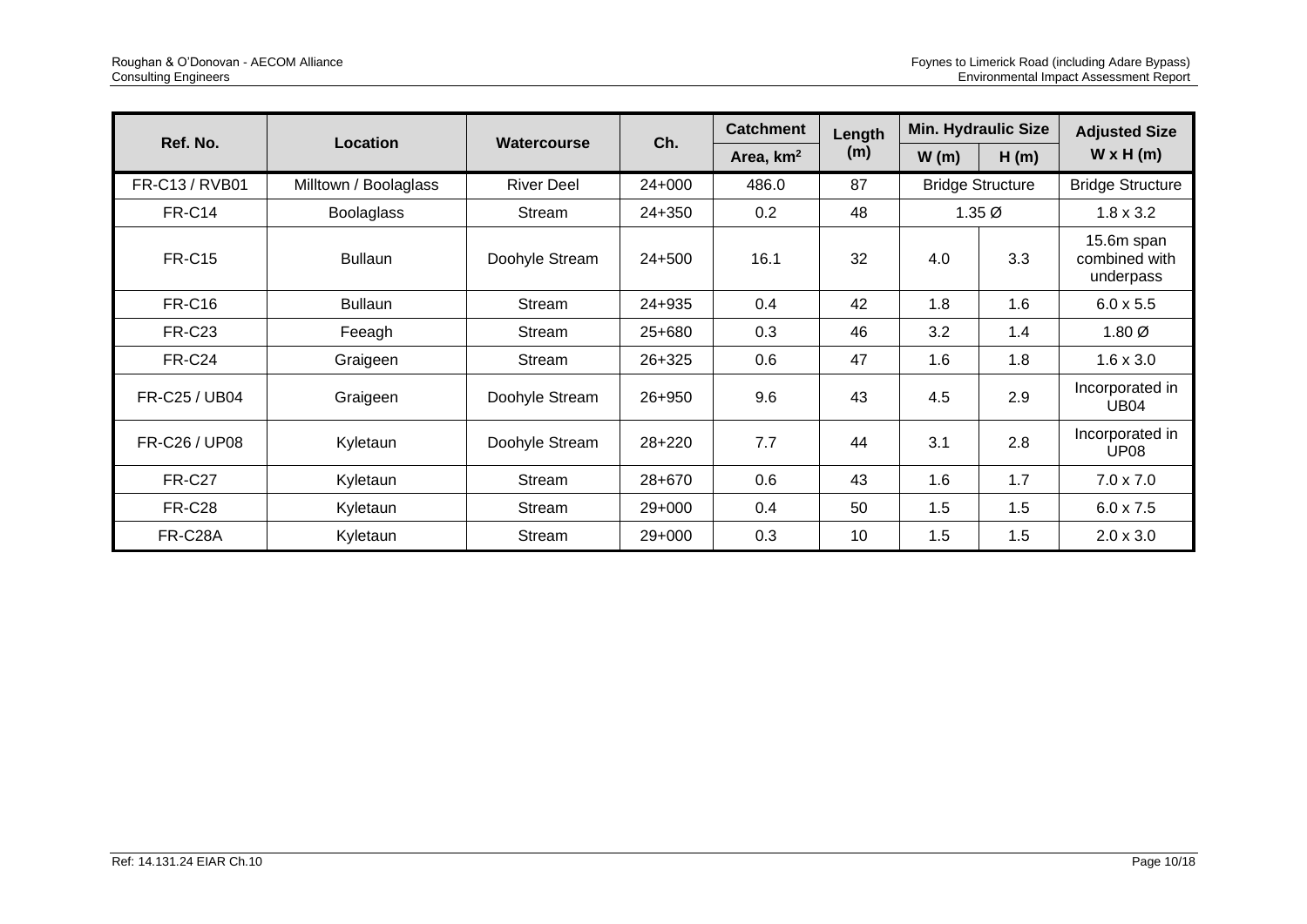|                |                       | <b>Watercourse</b> |        | <b>Catchment</b>      | Length | <b>Min. Hydraulic Size</b> |                         | <b>Adjusted Size</b>                     |
|----------------|-----------------------|--------------------|--------|-----------------------|--------|----------------------------|-------------------------|------------------------------------------|
| Ref. No.       | Location              |                    | Ch.    | Area, km <sup>2</sup> | (m)    | W(m)                       | H(m)                    | $W \times H(m)$                          |
| FR-C13 / RVB01 | Milltown / Boolaglass | <b>River Deel</b>  | 24+000 | 486.0                 | 87     |                            | <b>Bridge Structure</b> | <b>Bridge Structure</b>                  |
| <b>FR-C14</b>  | <b>Boolaglass</b>     | Stream             | 24+350 | 0.2                   | 48     |                            | $1.35\varnothing$       | $1.8 \times 3.2$                         |
| <b>FR-C15</b>  | <b>Bullaun</b>        | Doohyle Stream     | 24+500 | 16.1                  | 32     | 4.0                        | 3.3                     | 15.6m span<br>combined with<br>underpass |
| <b>FR-C16</b>  | <b>Bullaun</b>        | Stream             | 24+935 | 0.4                   | 42     | 1.8                        | 1.6                     | $6.0 \times 5.5$                         |
| <b>FR-C23</b>  | Feeagh                | Stream             | 25+680 | 0.3                   | 46     | 3.2                        | 1.4                     | $1.80\varnothing$                        |
| <b>FR-C24</b>  | Graigeen              | Stream             | 26+325 | 0.6                   | 47     | 1.6                        | 1.8                     | $1.6 \times 3.0$                         |
| FR-C25 / UB04  | Graigeen              | Doohyle Stream     | 26+950 | 9.6                   | 43     | 4.5                        | 2.9                     | Incorporated in<br><b>UB04</b>           |
| FR-C26 / UP08  | Kyletaun              | Doohyle Stream     | 28+220 | 7.7                   | 44     | 3.1                        | 2.8                     | Incorporated in<br>UP <sub>08</sub>      |
| <b>FR-C27</b>  | Kyletaun              | Stream             | 28+670 | 0.6                   | 43     | 1.6                        | 1.7                     | $7.0 \times 7.0$                         |
| <b>FR-C28</b>  | Kyletaun              | Stream             | 29+000 | 0.4                   | 50     | 1.5                        | 1.5                     | $6.0 \times 7.5$                         |
| FR-C28A        | Kyletaun              | Stream             | 29+000 | 0.3                   | 10     | 1.5                        | 1.5                     | $2.0 \times 3.0$                         |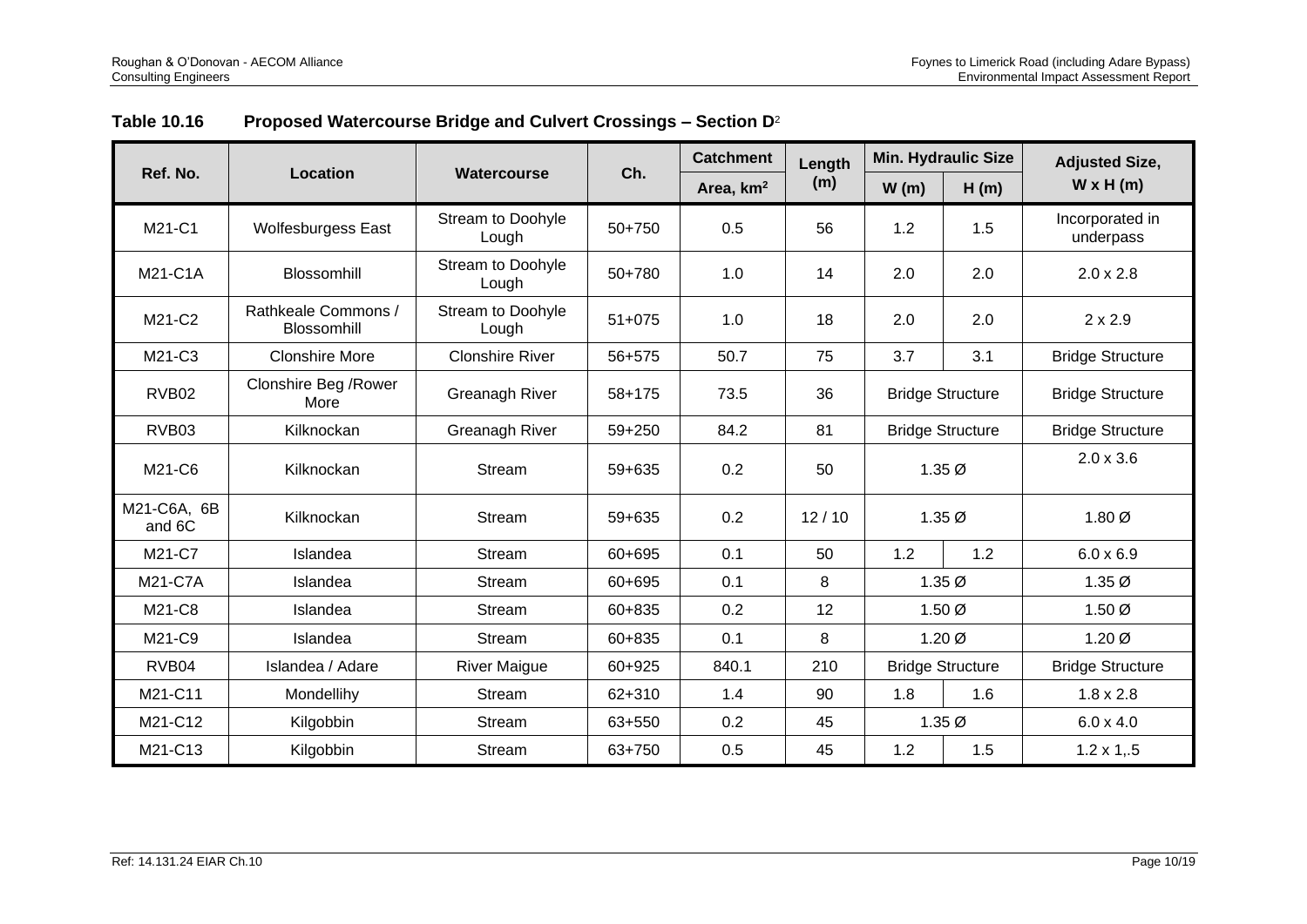| <b>Table 10.16</b> |  | Proposed Watercourse Bridge and Culvert Crossings – Section $D^2$ |
|--------------------|--|-------------------------------------------------------------------|
|                    |  |                                                                   |

|                       |                                           | <b>Catchment</b>           |          | Length                | <b>Min. Hydraulic Size</b> |                         | <b>Adjusted Size,</b> |                              |
|-----------------------|-------------------------------------------|----------------------------|----------|-----------------------|----------------------------|-------------------------|-----------------------|------------------------------|
| Ref. No.              | <b>Location</b>                           | Watercourse                | Ch.      | Area, km <sup>2</sup> | (m)                        | W(m)                    | H(m)                  | $W \times H(m)$              |
| M21-C1                | <b>Wolfesburgess East</b>                 | Stream to Doohyle<br>Lough | 50+750   | 0.5                   | 56                         | 1.2                     | 1.5                   | Incorporated in<br>underpass |
| M21-C1A               | Blossomhill                               | Stream to Doohyle<br>Lough | 50+780   | 1.0                   | 14                         | 2.0                     | 2.0                   | $2.0 \times 2.8$             |
| M21-C2                | Rathkeale Commons /<br><b>Blossomhill</b> | Stream to Doohyle<br>Lough | $51+075$ | 1.0                   | 18                         | 2.0                     | 2.0                   | $2 \times 2.9$               |
| M21-C3                | <b>Clonshire More</b>                     | <b>Clonshire River</b>     | 56+575   | 50.7                  | 75                         | 3.7                     | 3.1                   | <b>Bridge Structure</b>      |
| RVB <sub>02</sub>     | Clonshire Beg / Rower<br>More             | Greanagh River             | 58+175   | 73.5                  | 36                         | <b>Bridge Structure</b> |                       | <b>Bridge Structure</b>      |
| RVB03                 | Kilknockan                                | Greanagh River             | 59+250   | 84.2                  | 81                         | <b>Bridge Structure</b> |                       | <b>Bridge Structure</b>      |
| M21-C6                | Kilknockan                                | Stream                     | 59+635   | 0.2                   | 50                         | $1.35\emptyset$         |                       | $2.0 \times 3.6$             |
| M21-C6A, 6B<br>and 6C | Kilknockan                                | Stream                     | 59+635   | 0.2                   | 12/10                      | $1.35\varnothing$       |                       | 1.80 <sub>Ø</sub>            |
| M21-C7                | Islandea                                  | Stream                     | 60+695   | 0.1                   | 50                         | 1.2                     | 1.2                   | $6.0 \times 6.9$             |
| M21-C7A               | Islandea                                  | Stream                     | 60+695   | 0.1                   | 8                          |                         | $1.35\varnothing$     | $1.35\emptyset$              |
| M21-C8                | Islandea                                  | <b>Stream</b>              | 60+835   | 0.2                   | 12                         |                         | 1.50 Ø                | 1.50 Ø                       |
| M21-C9                | Islandea                                  | <b>Stream</b>              | 60+835   | 0.1                   | 8                          | $1.20\varnothing$       |                       | $1.20\varnothing$            |
| RVB04                 | Islandea / Adare                          | <b>River Maigue</b>        | 60+925   | 840.1                 | 210                        | <b>Bridge Structure</b> |                       | <b>Bridge Structure</b>      |
| M21-C11               | Mondellihy                                | Stream                     | 62+310   | 1.4                   | 90                         | 1.8                     | 1.6                   | $1.8 \times 2.8$             |
| M21-C12               | Kilgobbin                                 | <b>Stream</b>              | 63+550   | 0.2                   | 45                         |                         | $1.35\emptyset$       | $6.0 \times 4.0$             |
| M21-C13               | Kilgobbin                                 | Stream                     | 63+750   | 0.5                   | 45                         | 1.2                     | 1.5                   | $1.2 \times 1, .5$           |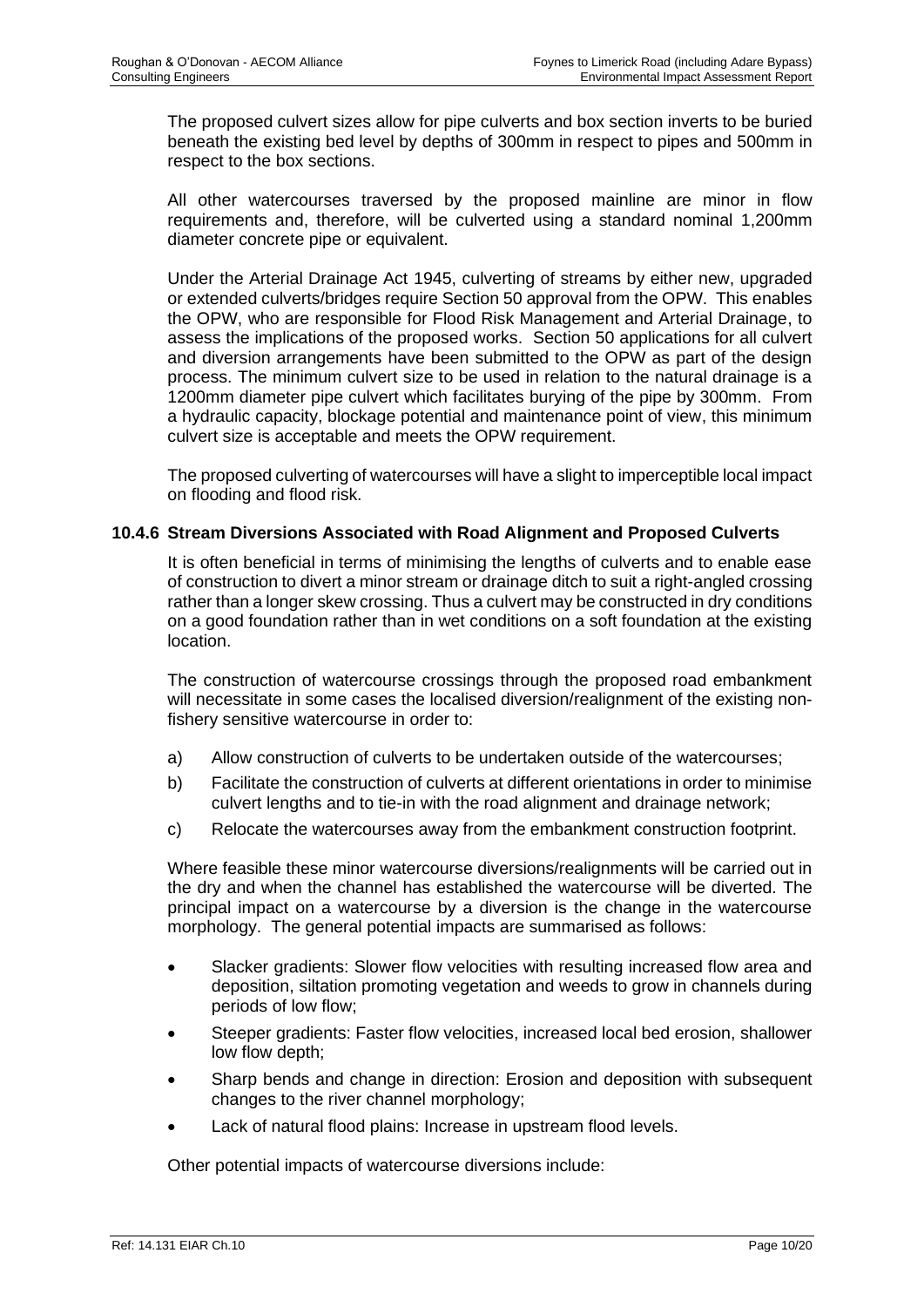The proposed culvert sizes allow for pipe culverts and box section inverts to be buried beneath the existing bed level by depths of 300mm in respect to pipes and 500mm in respect to the box sections.

All other watercourses traversed by the proposed mainline are minor in flow requirements and, therefore, will be culverted using a standard nominal 1,200mm diameter concrete pipe or equivalent.

Under the Arterial Drainage Act 1945, culverting of streams by either new, upgraded or extended culverts/bridges require Section 50 approval from the OPW. This enables the OPW, who are responsible for Flood Risk Management and Arterial Drainage, to assess the implications of the proposed works. Section 50 applications for all culvert and diversion arrangements have been submitted to the OPW as part of the design process. The minimum culvert size to be used in relation to the natural drainage is a 1200mm diameter pipe culvert which facilitates burying of the pipe by 300mm. From a hydraulic capacity, blockage potential and maintenance point of view, this minimum culvert size is acceptable and meets the OPW requirement.

The proposed culverting of watercourses will have a slight to imperceptible local impact on flooding and flood risk.

#### **10.4.6 Stream Diversions Associated with Road Alignment and Proposed Culverts**

It is often beneficial in terms of minimising the lengths of culverts and to enable ease of construction to divert a minor stream or drainage ditch to suit a right-angled crossing rather than a longer skew crossing. Thus a culvert may be constructed in dry conditions on a good foundation rather than in wet conditions on a soft foundation at the existing location.

The construction of watercourse crossings through the proposed road embankment will necessitate in some cases the localised diversion/realignment of the existing nonfishery sensitive watercourse in order to:

- a) Allow construction of culverts to be undertaken outside of the watercourses;
- b) Facilitate the construction of culverts at different orientations in order to minimise culvert lengths and to tie-in with the road alignment and drainage network;
- c) Relocate the watercourses away from the embankment construction footprint.

Where feasible these minor watercourse diversions/realignments will be carried out in the dry and when the channel has established the watercourse will be diverted. The principal impact on a watercourse by a diversion is the change in the watercourse morphology. The general potential impacts are summarised as follows:

- Slacker gradients: Slower flow velocities with resulting increased flow area and deposition, siltation promoting vegetation and weeds to grow in channels during periods of low flow;
- Steeper gradients: Faster flow velocities, increased local bed erosion, shallower low flow depth;
- Sharp bends and change in direction: Erosion and deposition with subsequent changes to the river channel morphology;
- Lack of natural flood plains: Increase in upstream flood levels.

Other potential impacts of watercourse diversions include: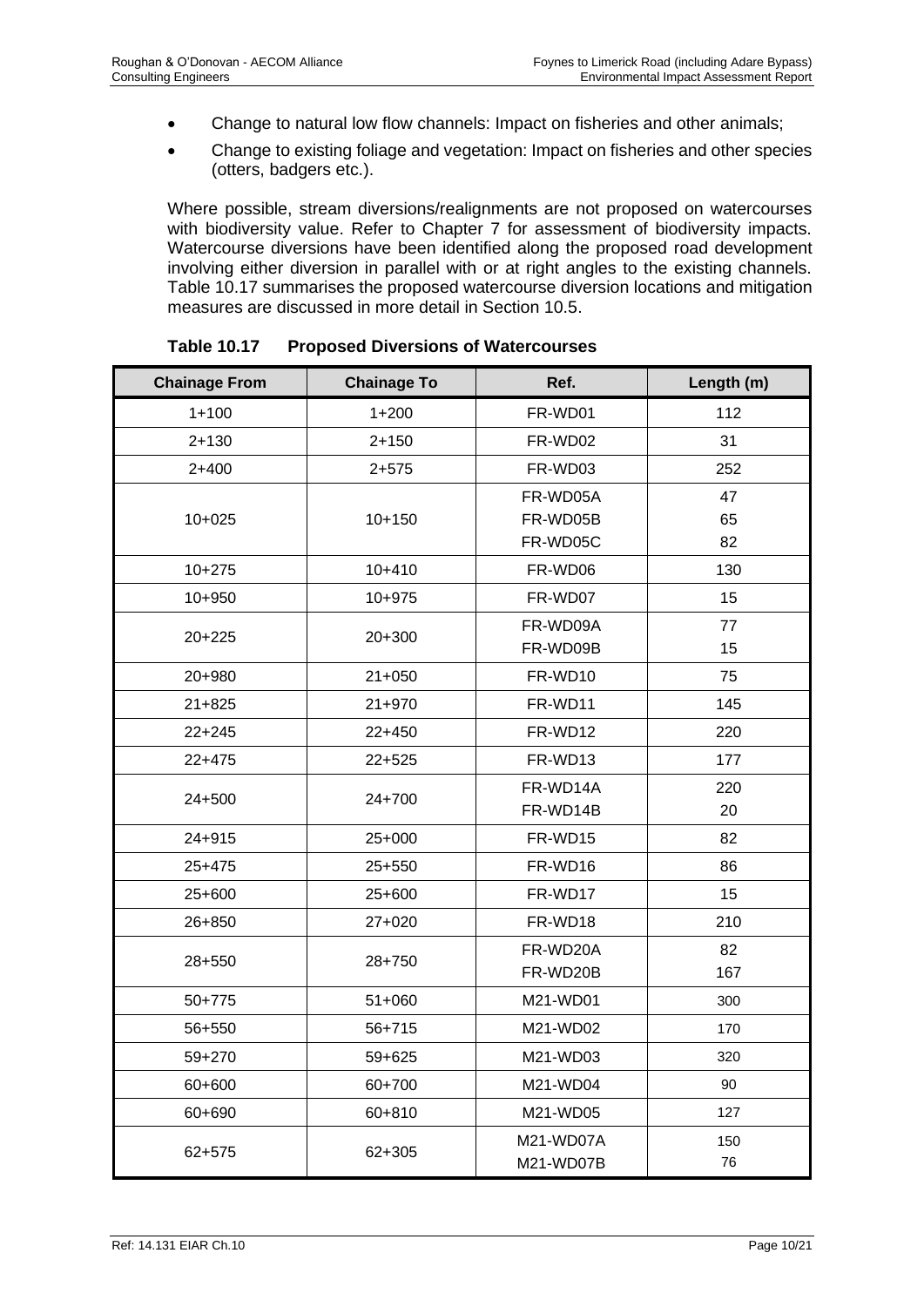- Change to natural low flow channels: Impact on fisheries and other animals;
- Change to existing foliage and vegetation: Impact on fisheries and other species (otters, badgers etc.).

Where possible, stream diversions/realignments are not proposed on watercourses with biodiversity value. Refer to Chapter 7 for assessment of biodiversity impacts. Watercourse diversions have been identified along the proposed road development involving either diversion in parallel with or at right angles to the existing channels. Table 10.17 summarises the proposed watercourse diversion locations and mitigation measures are discussed in more detail in Section 10.5.

| <b>Chainage From</b> | <b>Chainage To</b> | Ref.      | Length (m) |
|----------------------|--------------------|-----------|------------|
| $1 + 100$            | $1 + 200$          | FR-WD01   | 112        |
| $2 + 130$            | $2 + 150$          | FR-WD02   | 31         |
| $2+400$              | $2 + 575$          | FR-WD03   | 252        |
|                      |                    | FR-WD05A  | 47         |
| $10+025$             | $10 + 150$         | FR-WD05B  | 65         |
|                      |                    | FR-WD05C  | 82         |
| $10 + 275$           | $10+410$           | FR-WD06   | 130        |
| 10+950               | 10+975             | FR-WD07   | 15         |
| $20 + 225$           | 20+300             | FR-WD09A  | 77         |
|                      |                    | FR-WD09B  | 15         |
| 20+980               | $21 + 050$         | FR-WD10   | 75         |
| $21 + 825$           | 21+970             | FR-WD11   | 145        |
| $22 + 245$           | 22+450             | FR-WD12   | 220        |
| $22+475$             | 22+525             | FR-WD13   | 177        |
| 24+500               | 24+700             | FR-WD14A  | 220        |
|                      |                    | FR-WD14B  | 20         |
| 24+915               | 25+000             | FR-WD15   | 82         |
| 25+475               | 25+550             | FR-WD16   | 86         |
| 25+600               | 25+600             | FR-WD17   | 15         |
| 26+850               | 27+020             | FR-WD18   | 210        |
|                      |                    | FR-WD20A  | 82         |
| 28+550               | 28+750             | FR-WD20B  | 167        |
| 50+775               | 51+060             | M21-WD01  | 300        |
| 56+550               | 56+715             | M21-WD02  | 170        |
| 59+270               | 59+625             | M21-WD03  | 320        |
| 60+600               | 60+700             | M21-WD04  | 90         |
| 60+690               | 60+810             | M21-WD05  | 127        |
|                      |                    | M21-WD07A | 150        |
| 62+575               | 62+305             | M21-WD07B | 76         |

**Table 10.17 Proposed Diversions of Watercourses**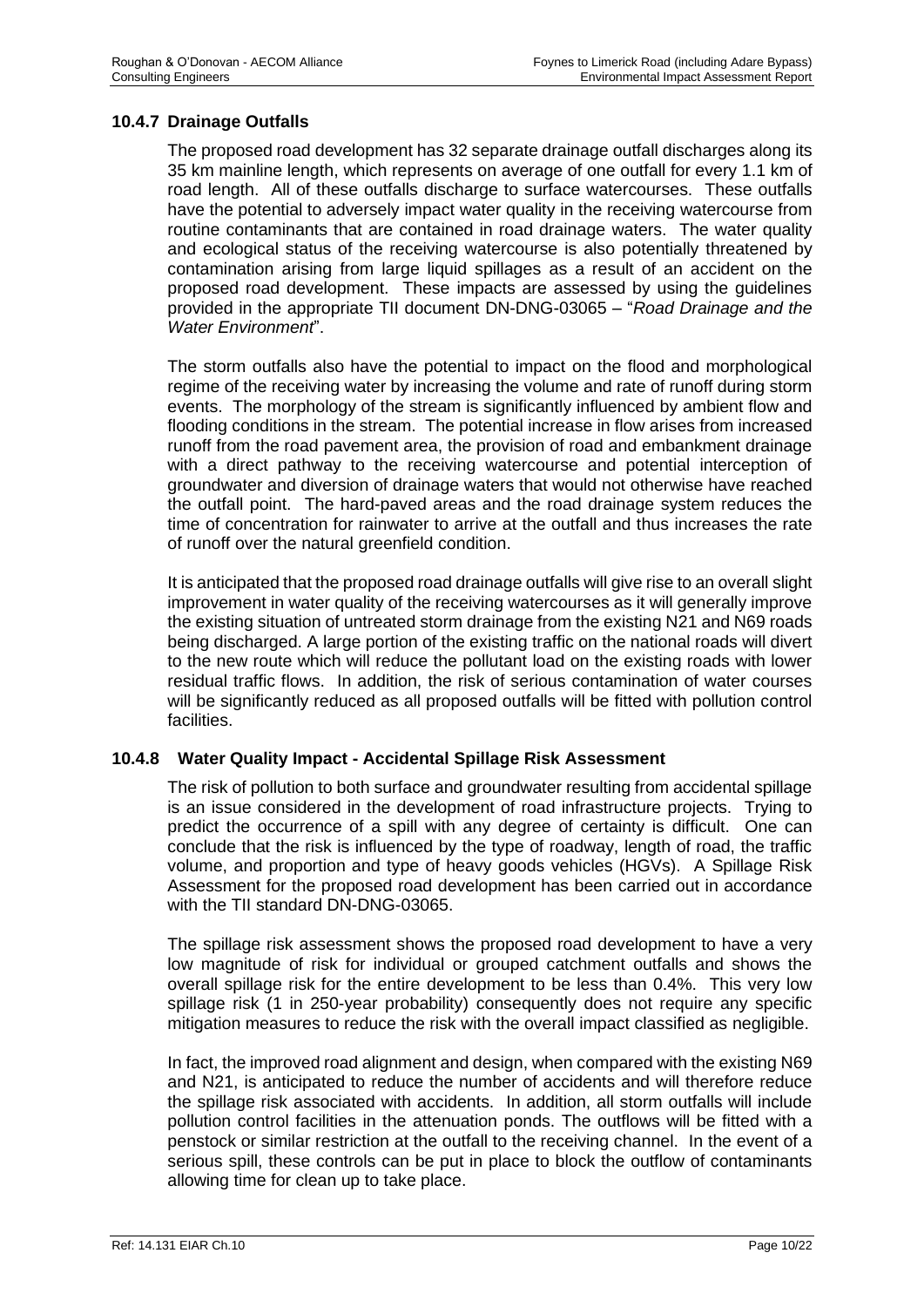#### **10.4.7 Drainage Outfalls**

The proposed road development has 32 separate drainage outfall discharges along its 35 km mainline length, which represents on average of one outfall for every 1.1 km of road length. All of these outfalls discharge to surface watercourses. These outfalls have the potential to adversely impact water quality in the receiving watercourse from routine contaminants that are contained in road drainage waters. The water quality and ecological status of the receiving watercourse is also potentially threatened by contamination arising from large liquid spillages as a result of an accident on the proposed road development. These impacts are assessed by using the guidelines provided in the appropriate TII document DN-DNG-03065 – "*Road Drainage and the Water Environment*".

The storm outfalls also have the potential to impact on the flood and morphological regime of the receiving water by increasing the volume and rate of runoff during storm events. The morphology of the stream is significantly influenced by ambient flow and flooding conditions in the stream. The potential increase in flow arises from increased runoff from the road pavement area, the provision of road and embankment drainage with a direct pathway to the receiving watercourse and potential interception of groundwater and diversion of drainage waters that would not otherwise have reached the outfall point. The hard-paved areas and the road drainage system reduces the time of concentration for rainwater to arrive at the outfall and thus increases the rate of runoff over the natural greenfield condition.

It is anticipated that the proposed road drainage outfalls will give rise to an overall slight improvement in water quality of the receiving watercourses as it will generally improve the existing situation of untreated storm drainage from the existing N21 and N69 roads being discharged. A large portion of the existing traffic on the national roads will divert to the new route which will reduce the pollutant load on the existing roads with lower residual traffic flows. In addition, the risk of serious contamination of water courses will be significantly reduced as all proposed outfalls will be fitted with pollution control facilities.

#### **10.4.8 Water Quality Impact - Accidental Spillage Risk Assessment**

The risk of pollution to both surface and groundwater resulting from accidental spillage is an issue considered in the development of road infrastructure projects. Trying to predict the occurrence of a spill with any degree of certainty is difficult. One can conclude that the risk is influenced by the type of roadway, length of road, the traffic volume, and proportion and type of heavy goods vehicles (HGVs). A Spillage Risk Assessment for the proposed road development has been carried out in accordance with the TII standard DN-DNG-03065.

The spillage risk assessment shows the proposed road development to have a very low magnitude of risk for individual or grouped catchment outfalls and shows the overall spillage risk for the entire development to be less than 0.4%. This very low spillage risk (1 in 250-year probability) consequently does not require any specific mitigation measures to reduce the risk with the overall impact classified as negligible.

In fact, the improved road alignment and design, when compared with the existing N69 and N21, is anticipated to reduce the number of accidents and will therefore reduce the spillage risk associated with accidents. In addition, all storm outfalls will include pollution control facilities in the attenuation ponds. The outflows will be fitted with a penstock or similar restriction at the outfall to the receiving channel. In the event of a serious spill, these controls can be put in place to block the outflow of contaminants allowing time for clean up to take place.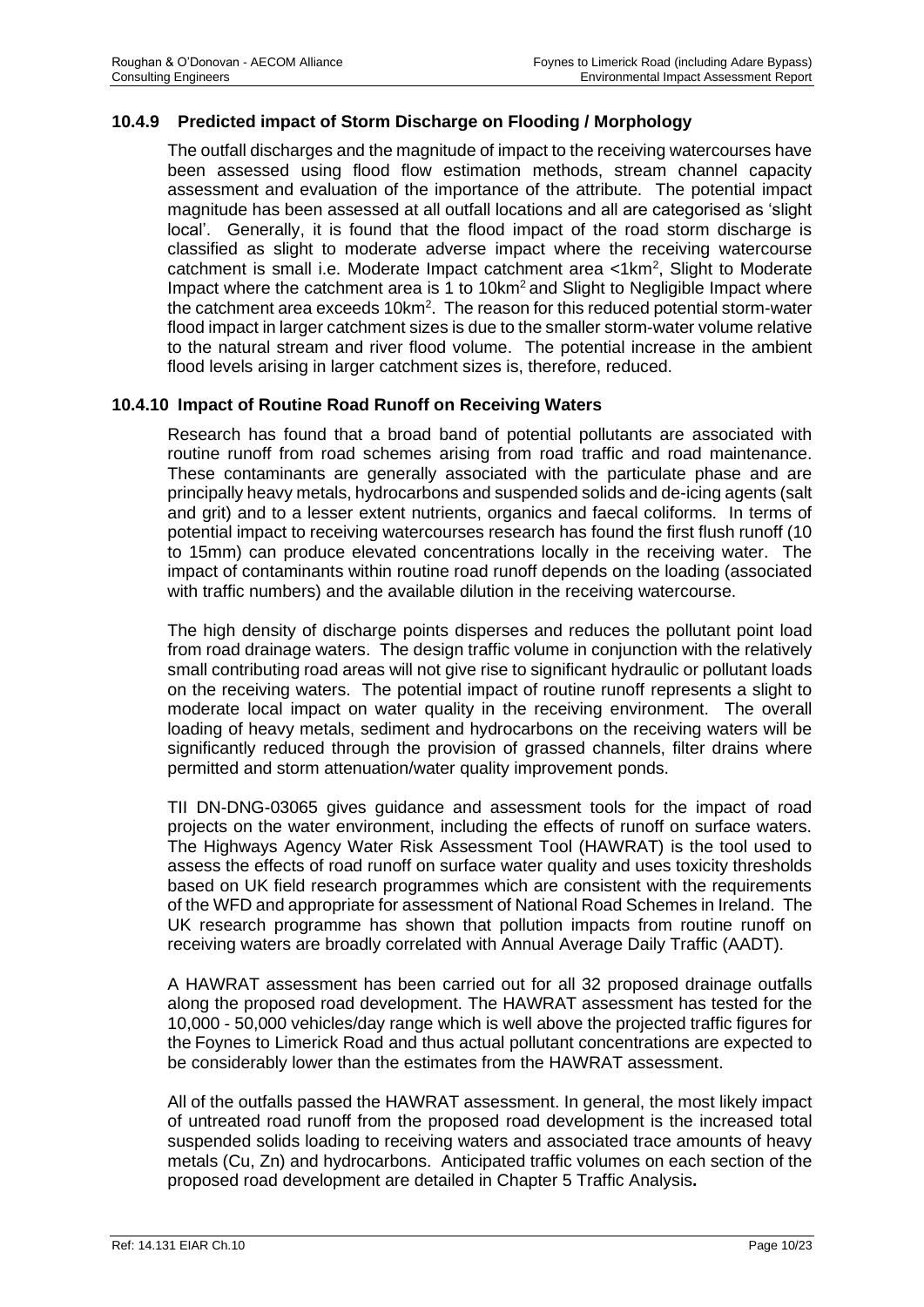## **10.4.9 Predicted impact of Storm Discharge on Flooding / Morphology**

The outfall discharges and the magnitude of impact to the receiving watercourses have been assessed using flood flow estimation methods, stream channel capacity assessment and evaluation of the importance of the attribute. The potential impact magnitude has been assessed at all outfall locations and all are categorised as 'slight local'. Generally, it is found that the flood impact of the road storm discharge is classified as slight to moderate adverse impact where the receiving watercourse catchment is small i.e. Moderate Impact catchment area <1km<sup>2</sup>, Slight to Moderate Impact where the catchment area is 1 to 10km<sup>2</sup> and Slight to Negligible Impact where the catchment area exceeds 10km<sup>2</sup>. The reason for this reduced potential storm-water flood impact in larger catchment sizes is due to the smaller storm-water volume relative to the natural stream and river flood volume. The potential increase in the ambient flood levels arising in larger catchment sizes is, therefore, reduced.

#### **10.4.10 Impact of Routine Road Runoff on Receiving Waters**

Research has found that a broad band of potential pollutants are associated with routine runoff from road schemes arising from road traffic and road maintenance. These contaminants are generally associated with the particulate phase and are principally heavy metals, hydrocarbons and suspended solids and de-icing agents (salt and grit) and to a lesser extent nutrients, organics and faecal coliforms. In terms of potential impact to receiving watercourses research has found the first flush runoff (10 to 15mm) can produce elevated concentrations locally in the receiving water. The impact of contaminants within routine road runoff depends on the loading (associated with traffic numbers) and the available dilution in the receiving watercourse.

The high density of discharge points disperses and reduces the pollutant point load from road drainage waters. The design traffic volume in conjunction with the relatively small contributing road areas will not give rise to significant hydraulic or pollutant loads on the receiving waters. The potential impact of routine runoff represents a slight to moderate local impact on water quality in the receiving environment. The overall loading of heavy metals, sediment and hydrocarbons on the receiving waters will be significantly reduced through the provision of grassed channels, filter drains where permitted and storm attenuation/water quality improvement ponds.

TII DN-DNG-03065 gives guidance and assessment tools for the impact of road projects on the water environment, including the effects of runoff on surface waters. The Highways Agency Water Risk Assessment Tool (HAWRAT) is the tool used to assess the effects of road runoff on surface water quality and uses toxicity thresholds based on UK field research programmes which are consistent with the requirements of the WFD and appropriate for assessment of National Road Schemes in Ireland. The UK research programme has shown that pollution impacts from routine runoff on receiving waters are broadly correlated with Annual Average Daily Traffic (AADT).

A HAWRAT assessment has been carried out for all 32 proposed drainage outfalls along the proposed road development. The HAWRAT assessment has tested for the 10,000 - 50,000 vehicles/day range which is well above the projected traffic figures for the Foynes to Limerick Road and thus actual pollutant concentrations are expected to be considerably lower than the estimates from the HAWRAT assessment.

All of the outfalls passed the HAWRAT assessment. In general, the most likely impact of untreated road runoff from the proposed road development is the increased total suspended solids loading to receiving waters and associated trace amounts of heavy metals (Cu, Zn) and hydrocarbons. Anticipated traffic volumes on each section of the proposed road development are detailed in Chapter 5 Traffic Analysis**.**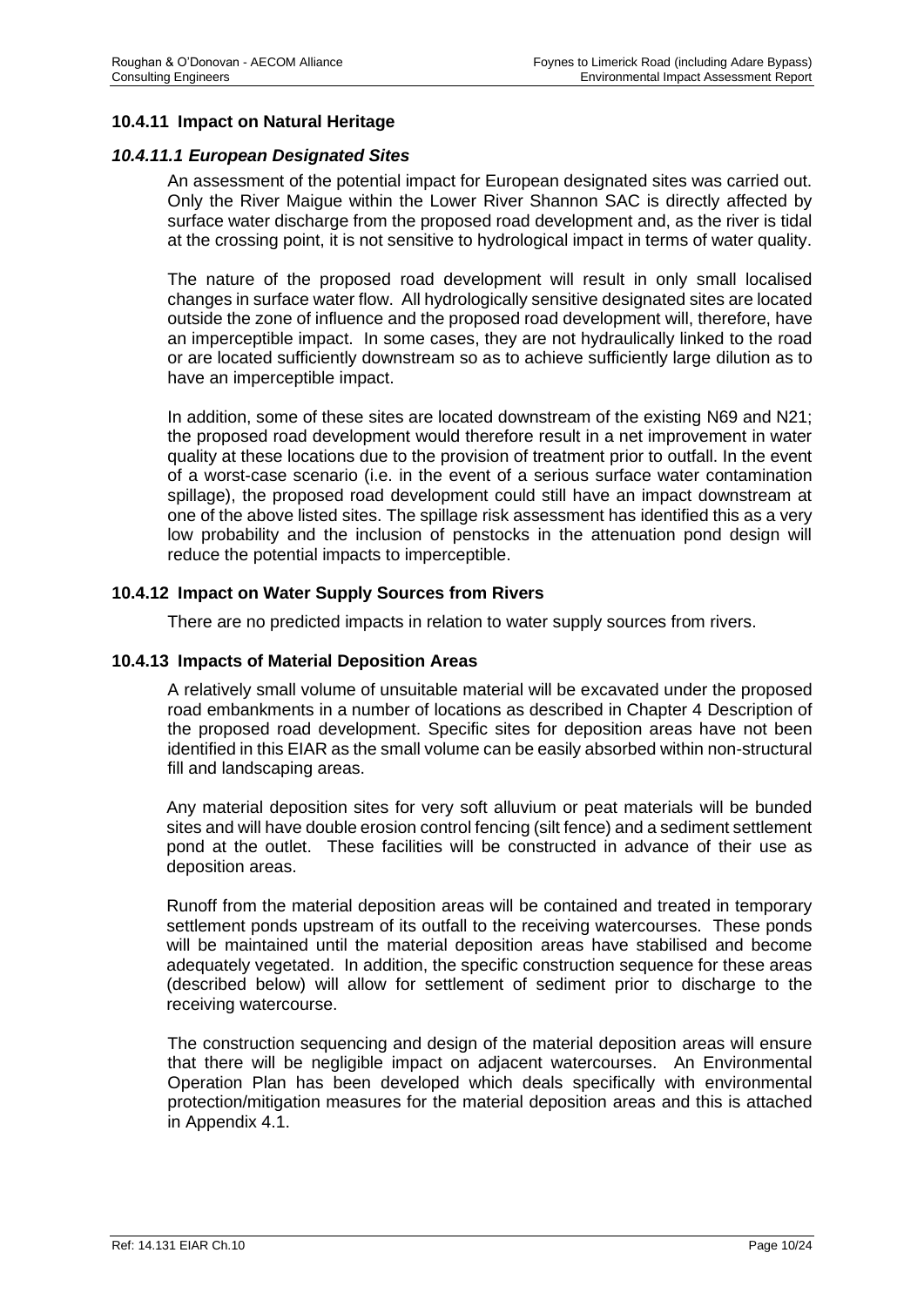#### **10.4.11 Impact on Natural Heritage**

#### *10.4.11.1 European Designated Sites*

An assessment of the potential impact for European designated sites was carried out. Only the River Maigue within the Lower River Shannon SAC is directly affected by surface water discharge from the proposed road development and, as the river is tidal at the crossing point, it is not sensitive to hydrological impact in terms of water quality.

The nature of the proposed road development will result in only small localised changes in surface water flow. All hydrologically sensitive designated sites are located outside the zone of influence and the proposed road development will, therefore, have an imperceptible impact. In some cases, they are not hydraulically linked to the road or are located sufficiently downstream so as to achieve sufficiently large dilution as to have an imperceptible impact.

In addition, some of these sites are located downstream of the existing N69 and N21; the proposed road development would therefore result in a net improvement in water quality at these locations due to the provision of treatment prior to outfall. In the event of a worst-case scenario (i.e. in the event of a serious surface water contamination spillage), the proposed road development could still have an impact downstream at one of the above listed sites. The spillage risk assessment has identified this as a very low probability and the inclusion of penstocks in the attenuation pond design will reduce the potential impacts to imperceptible.

#### **10.4.12 Impact on Water Supply Sources from Rivers**

There are no predicted impacts in relation to water supply sources from rivers.

#### **10.4.13 Impacts of Material Deposition Areas**

A relatively small volume of unsuitable material will be excavated under the proposed road embankments in a number of locations as described in Chapter 4 Description of the proposed road development. Specific sites for deposition areas have not been identified in this EIAR as the small volume can be easily absorbed within non-structural fill and landscaping areas.

Any material deposition sites for very soft alluvium or peat materials will be bunded sites and will have double erosion control fencing (silt fence) and a sediment settlement pond at the outlet. These facilities will be constructed in advance of their use as deposition areas.

Runoff from the material deposition areas will be contained and treated in temporary settlement ponds upstream of its outfall to the receiving watercourses. These ponds will be maintained until the material deposition areas have stabilised and become adequately vegetated. In addition, the specific construction sequence for these areas (described below) will allow for settlement of sediment prior to discharge to the receiving watercourse.

The construction sequencing and design of the material deposition areas will ensure that there will be negligible impact on adjacent watercourses. An Environmental Operation Plan has been developed which deals specifically with environmental protection/mitigation measures for the material deposition areas and this is attached in Appendix 4.1.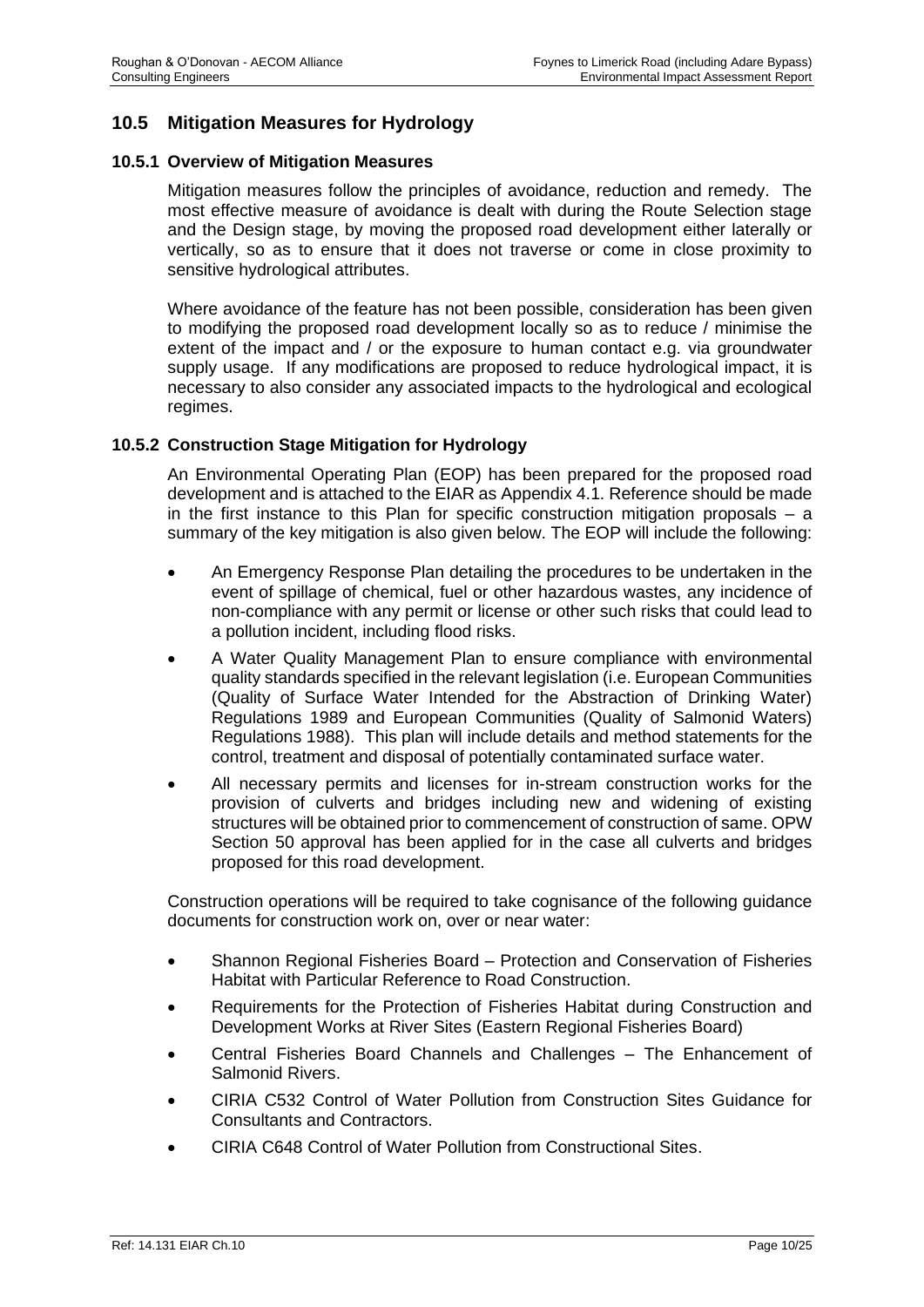# **10.5 Mitigation Measures for Hydrology**

#### **10.5.1 Overview of Mitigation Measures**

Mitigation measures follow the principles of avoidance, reduction and remedy. The most effective measure of avoidance is dealt with during the Route Selection stage and the Design stage, by moving the proposed road development either laterally or vertically, so as to ensure that it does not traverse or come in close proximity to sensitive hydrological attributes.

Where avoidance of the feature has not been possible, consideration has been given to modifying the proposed road development locally so as to reduce / minimise the extent of the impact and / or the exposure to human contact e.g. via groundwater supply usage. If any modifications are proposed to reduce hydrological impact, it is necessary to also consider any associated impacts to the hydrological and ecological regimes.

#### **10.5.2 Construction Stage Mitigation for Hydrology**

An Environmental Operating Plan (EOP) has been prepared for the proposed road development and is attached to the EIAR as Appendix 4.1. Reference should be made in the first instance to this Plan for specific construction mitigation proposals – a summary of the key mitigation is also given below. The EOP will include the following:

- An Emergency Response Plan detailing the procedures to be undertaken in the event of spillage of chemical, fuel or other hazardous wastes, any incidence of non-compliance with any permit or license or other such risks that could lead to a pollution incident, including flood risks.
- A Water Quality Management Plan to ensure compliance with environmental quality standards specified in the relevant legislation (i.e. European Communities (Quality of Surface Water Intended for the Abstraction of Drinking Water) Regulations 1989 and European Communities (Quality of Salmonid Waters) Regulations 1988). This plan will include details and method statements for the control, treatment and disposal of potentially contaminated surface water.
- All necessary permits and licenses for in-stream construction works for the provision of culverts and bridges including new and widening of existing structures will be obtained prior to commencement of construction of same. OPW Section 50 approval has been applied for in the case all culverts and bridges proposed for this road development.

Construction operations will be required to take cognisance of the following guidance documents for construction work on, over or near water:

- Shannon Regional Fisheries Board Protection and Conservation of Fisheries Habitat with Particular Reference to Road Construction.
- Requirements for the Protection of Fisheries Habitat during Construction and Development Works at River Sites (Eastern Regional Fisheries Board)
- Central Fisheries Board Channels and Challenges The Enhancement of Salmonid Rivers.
- CIRIA C532 Control of Water Pollution from Construction Sites Guidance for Consultants and Contractors.
- CIRIA C648 Control of Water Pollution from Constructional Sites.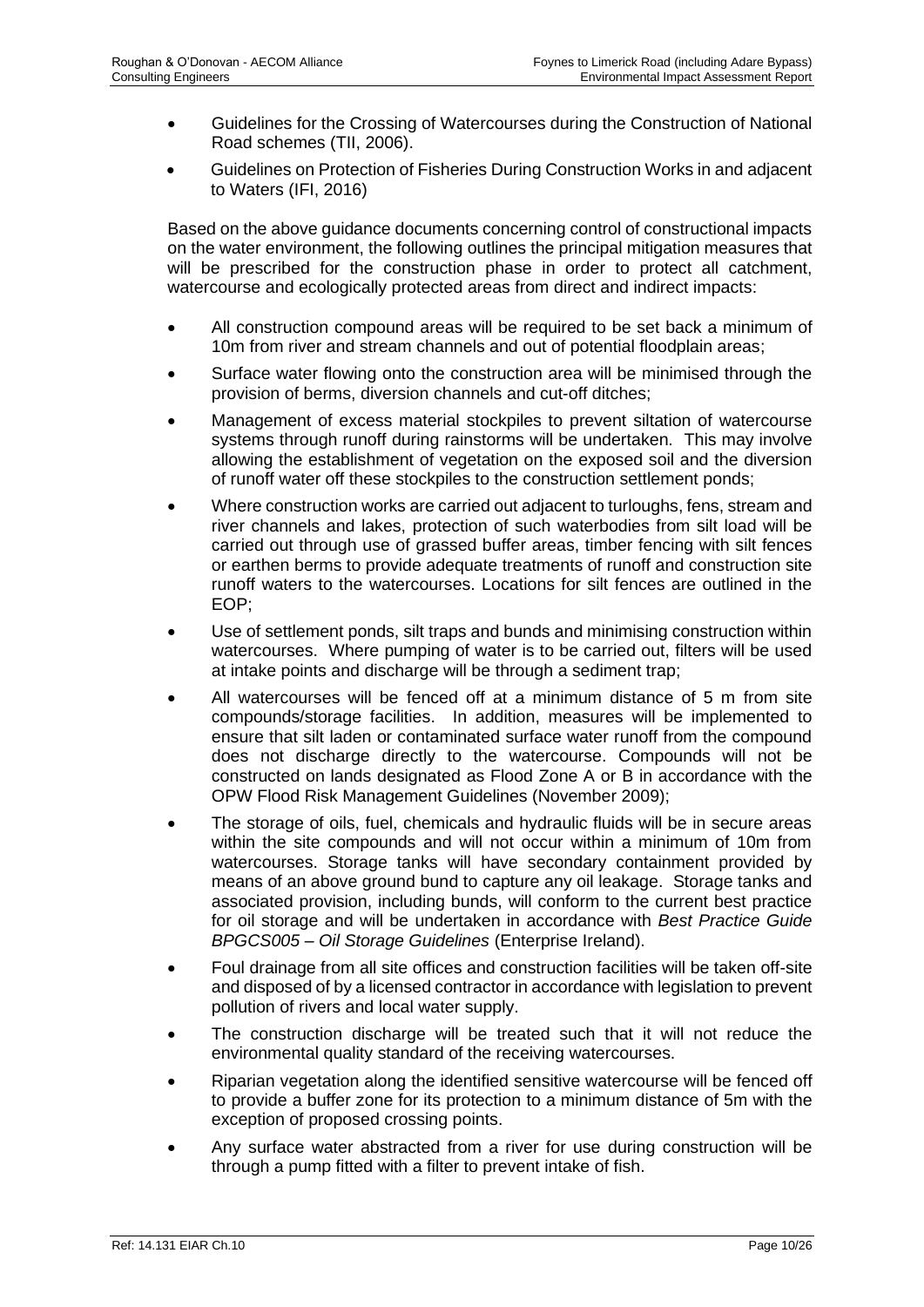- Guidelines for the Crossing of Watercourses during the Construction of National Road schemes (TII, 2006).
- Guidelines on Protection of Fisheries During Construction Works in and adjacent to Waters (IFI, 2016)

Based on the above guidance documents concerning control of constructional impacts on the water environment, the following outlines the principal mitigation measures that will be prescribed for the construction phase in order to protect all catchment, watercourse and ecologically protected areas from direct and indirect impacts:

- All construction compound areas will be required to be set back a minimum of 10m from river and stream channels and out of potential floodplain areas;
- Surface water flowing onto the construction area will be minimised through the provision of berms, diversion channels and cut-off ditches;
- Management of excess material stockpiles to prevent siltation of watercourse systems through runoff during rainstorms will be undertaken. This may involve allowing the establishment of vegetation on the exposed soil and the diversion of runoff water off these stockpiles to the construction settlement ponds;
- Where construction works are carried out adjacent to turloughs, fens, stream and river channels and lakes, protection of such waterbodies from silt load will be carried out through use of grassed buffer areas, timber fencing with silt fences or earthen berms to provide adequate treatments of runoff and construction site runoff waters to the watercourses. Locations for silt fences are outlined in the EOP;
- Use of settlement ponds, silt traps and bunds and minimising construction within watercourses. Where pumping of water is to be carried out, filters will be used at intake points and discharge will be through a sediment trap;
- All watercourses will be fenced off at a minimum distance of 5 m from site compounds/storage facilities. In addition, measures will be implemented to ensure that silt laden or contaminated surface water runoff from the compound does not discharge directly to the watercourse. Compounds will not be constructed on lands designated as Flood Zone A or B in accordance with the OPW Flood Risk Management Guidelines (November 2009);
- The storage of oils, fuel, chemicals and hydraulic fluids will be in secure areas within the site compounds and will not occur within a minimum of 10m from watercourses. Storage tanks will have secondary containment provided by means of an above ground bund to capture any oil leakage. Storage tanks and associated provision, including bunds, will conform to the current best practice for oil storage and will be undertaken in accordance with *Best Practice Guide BPGCS005 – Oil Storage Guidelines* (Enterprise Ireland).
- Foul drainage from all site offices and construction facilities will be taken off-site and disposed of by a licensed contractor in accordance with legislation to prevent pollution of rivers and local water supply.
- The construction discharge will be treated such that it will not reduce the environmental quality standard of the receiving watercourses.
- Riparian vegetation along the identified sensitive watercourse will be fenced off to provide a buffer zone for its protection to a minimum distance of 5m with the exception of proposed crossing points.
- Any surface water abstracted from a river for use during construction will be through a pump fitted with a filter to prevent intake of fish.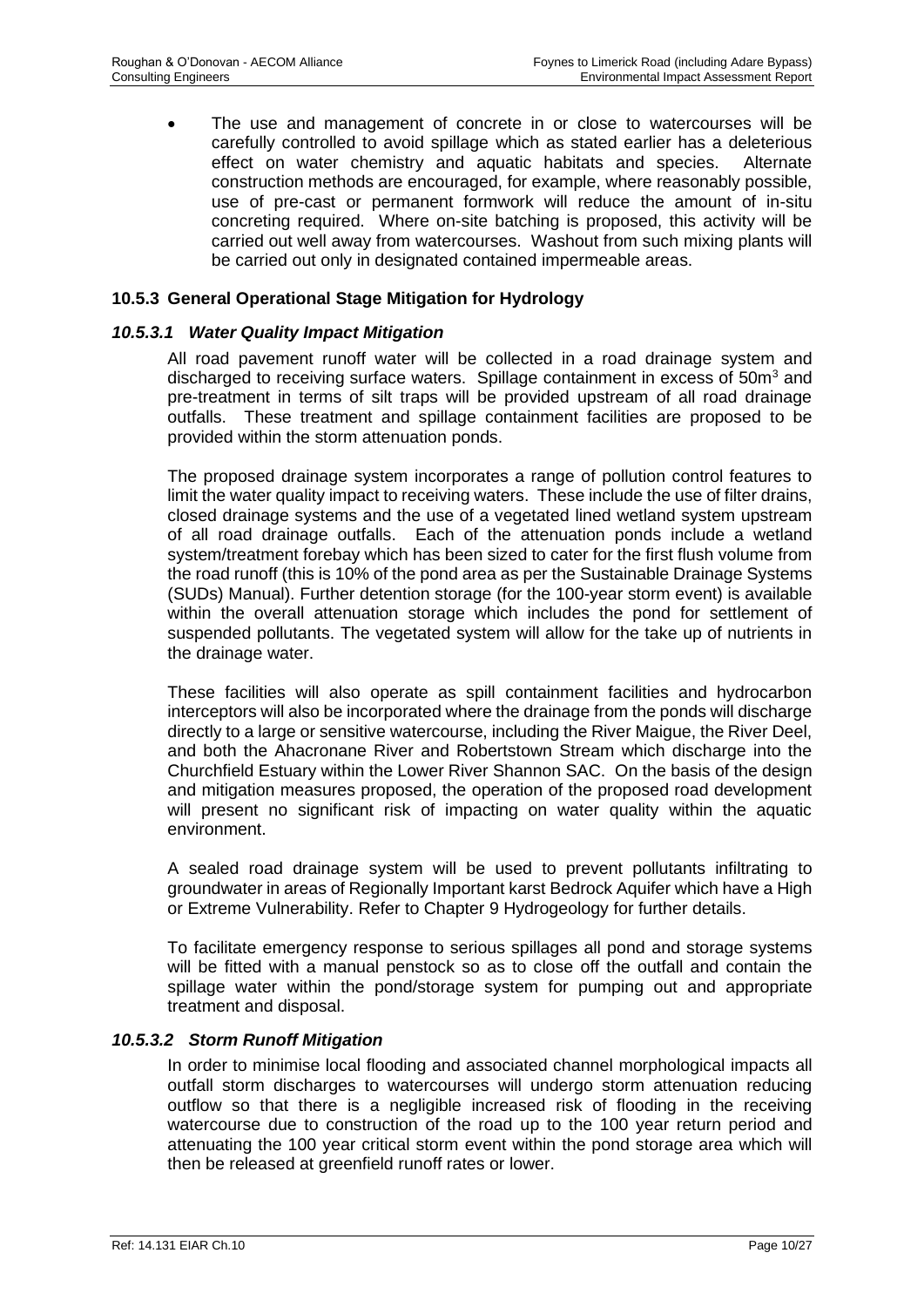The use and management of concrete in or close to watercourses will be carefully controlled to avoid spillage which as stated earlier has a deleterious effect on water chemistry and aquatic habitats and species. Alternate construction methods are encouraged, for example, where reasonably possible, use of pre-cast or permanent formwork will reduce the amount of in-situ concreting required. Where on-site batching is proposed, this activity will be carried out well away from watercourses. Washout from such mixing plants will be carried out only in designated contained impermeable areas.

#### **10.5.3 General Operational Stage Mitigation for Hydrology**

#### *10.5.3.1 Water Quality Impact Mitigation*

All road pavement runoff water will be collected in a road drainage system and discharged to receiving surface waters. Spillage containment in excess of  $50m<sup>3</sup>$  and pre-treatment in terms of silt traps will be provided upstream of all road drainage outfalls. These treatment and spillage containment facilities are proposed to be provided within the storm attenuation ponds.

The proposed drainage system incorporates a range of pollution control features to limit the water quality impact to receiving waters. These include the use of filter drains, closed drainage systems and the use of a vegetated lined wetland system upstream of all road drainage outfalls. Each of the attenuation ponds include a wetland system/treatment forebay which has been sized to cater for the first flush volume from the road runoff (this is 10% of the pond area as per the Sustainable Drainage Systems (SUDs) Manual). Further detention storage (for the 100-year storm event) is available within the overall attenuation storage which includes the pond for settlement of suspended pollutants. The vegetated system will allow for the take up of nutrients in the drainage water.

These facilities will also operate as spill containment facilities and hydrocarbon interceptors will also be incorporated where the drainage from the ponds will discharge directly to a large or sensitive watercourse, including the River Maigue, the River Deel, and both the Ahacronane River and Robertstown Stream which discharge into the Churchfield Estuary within the Lower River Shannon SAC. On the basis of the design and mitigation measures proposed, the operation of the proposed road development will present no significant risk of impacting on water quality within the aquatic environment.

A sealed road drainage system will be used to prevent pollutants infiltrating to groundwater in areas of Regionally Important karst Bedrock Aquifer which have a High or Extreme Vulnerability. Refer to Chapter 9 Hydrogeology for further details.

To facilitate emergency response to serious spillages all pond and storage systems will be fitted with a manual penstock so as to close off the outfall and contain the spillage water within the pond/storage system for pumping out and appropriate treatment and disposal.

#### *10.5.3.2 Storm Runoff Mitigation*

In order to minimise local flooding and associated channel morphological impacts all outfall storm discharges to watercourses will undergo storm attenuation reducing outflow so that there is a negligible increased risk of flooding in the receiving watercourse due to construction of the road up to the 100 year return period and attenuating the 100 year critical storm event within the pond storage area which will then be released at greenfield runoff rates or lower.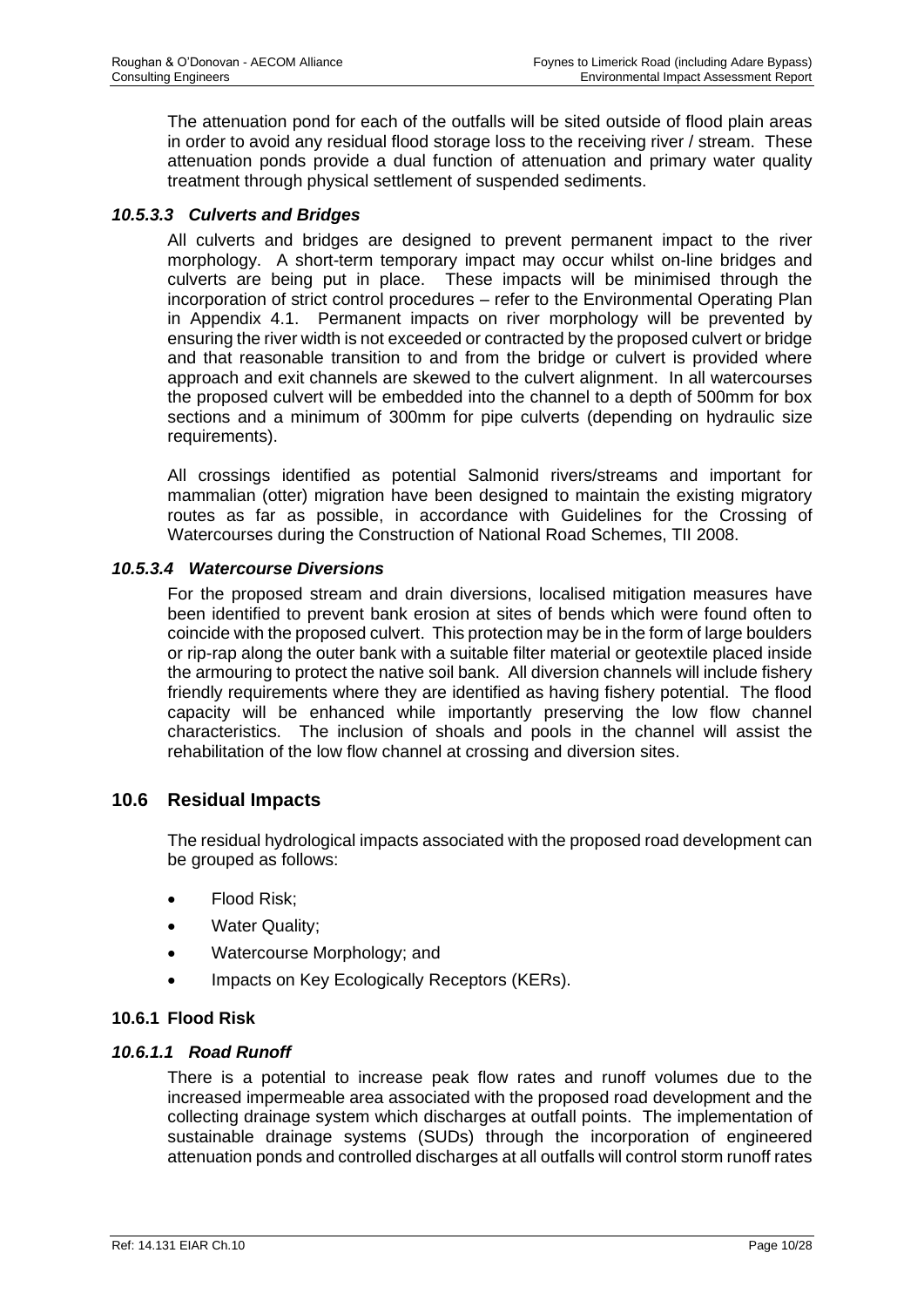The attenuation pond for each of the outfalls will be sited outside of flood plain areas in order to avoid any residual flood storage loss to the receiving river / stream. These attenuation ponds provide a dual function of attenuation and primary water quality treatment through physical settlement of suspended sediments.

## *10.5.3.3 Culverts and Bridges*

All culverts and bridges are designed to prevent permanent impact to the river morphology. A short-term temporary impact may occur whilst on-line bridges and culverts are being put in place. These impacts will be minimised through the incorporation of strict control procedures – refer to the Environmental Operating Plan in Appendix 4.1. Permanent impacts on river morphology will be prevented by ensuring the river width is not exceeded or contracted by the proposed culvert or bridge and that reasonable transition to and from the bridge or culvert is provided where approach and exit channels are skewed to the culvert alignment. In all watercourses the proposed culvert will be embedded into the channel to a depth of 500mm for box sections and a minimum of 300mm for pipe culverts (depending on hydraulic size requirements).

All crossings identified as potential Salmonid rivers/streams and important for mammalian (otter) migration have been designed to maintain the existing migratory routes as far as possible, in accordance with Guidelines for the Crossing of Watercourses during the Construction of National Road Schemes, TII 2008.

## *10.5.3.4 Watercourse Diversions*

For the proposed stream and drain diversions, localised mitigation measures have been identified to prevent bank erosion at sites of bends which were found often to coincide with the proposed culvert. This protection may be in the form of large boulders or rip-rap along the outer bank with a suitable filter material or geotextile placed inside the armouring to protect the native soil bank. All diversion channels will include fishery friendly requirements where they are identified as having fishery potential. The flood capacity will be enhanced while importantly preserving the low flow channel characteristics. The inclusion of shoals and pools in the channel will assist the rehabilitation of the low flow channel at crossing and diversion sites.

# **10.6 Residual Impacts**

The residual hydrological impacts associated with the proposed road development can be grouped as follows:

- Flood Risk;
- Water Quality;
- Watercourse Morphology; and
- Impacts on Key Ecologically Receptors (KERs).

#### **10.6.1 Flood Risk**

#### *10.6.1.1 Road Runoff*

There is a potential to increase peak flow rates and runoff volumes due to the increased impermeable area associated with the proposed road development and the collecting drainage system which discharges at outfall points. The implementation of sustainable drainage systems (SUDs) through the incorporation of engineered attenuation ponds and controlled discharges at all outfalls will control storm runoff rates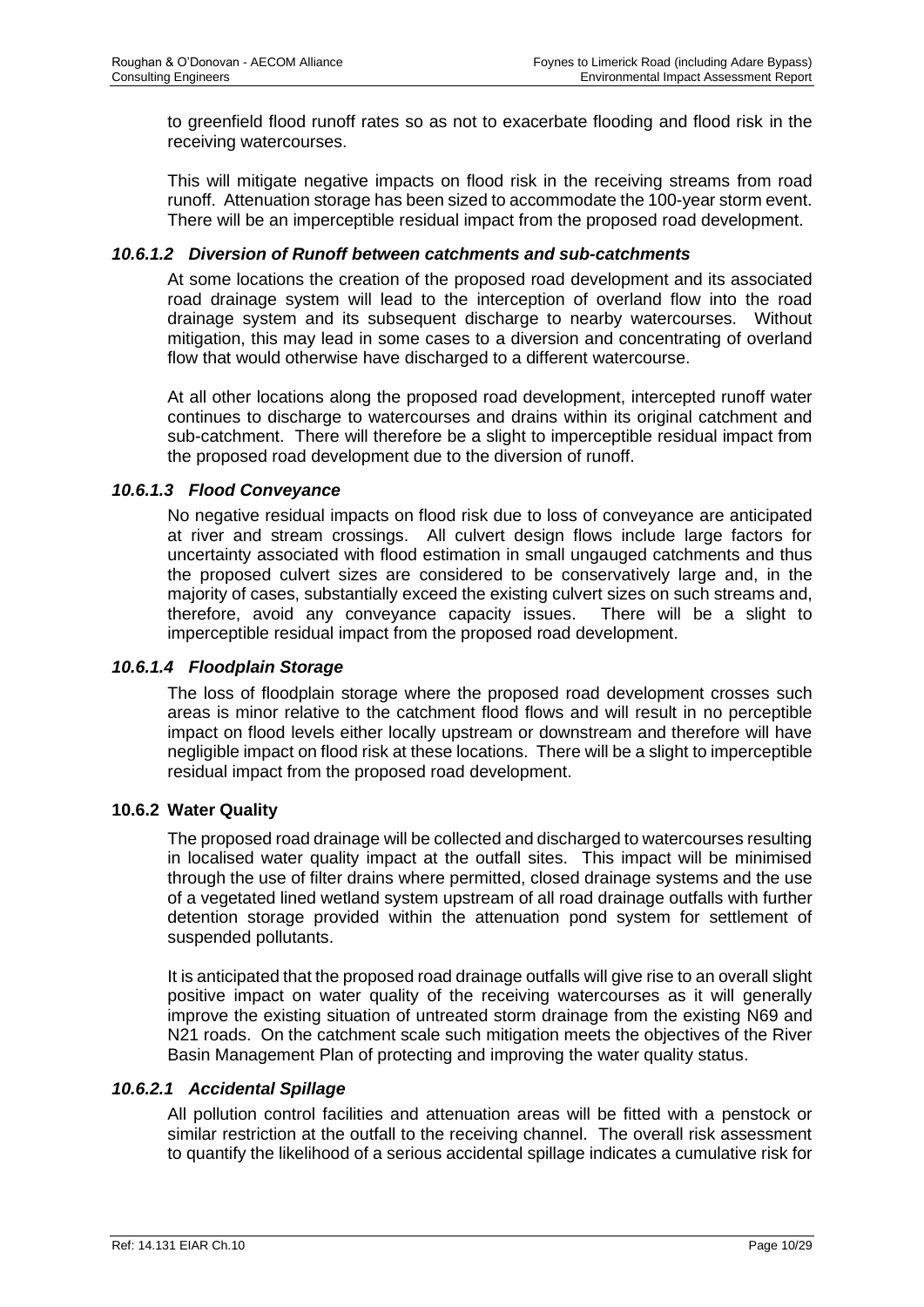to greenfield flood runoff rates so as not to exacerbate flooding and flood risk in the receiving watercourses.

This will mitigate negative impacts on flood risk in the receiving streams from road runoff. Attenuation storage has been sized to accommodate the 100-year storm event. There will be an imperceptible residual impact from the proposed road development.

#### *10.6.1.2 Diversion of Runoff between catchments and sub-catchments*

At some locations the creation of the proposed road development and its associated road drainage system will lead to the interception of overland flow into the road drainage system and its subsequent discharge to nearby watercourses. Without mitigation, this may lead in some cases to a diversion and concentrating of overland flow that would otherwise have discharged to a different watercourse.

At all other locations along the proposed road development, intercepted runoff water continues to discharge to watercourses and drains within its original catchment and sub-catchment. There will therefore be a slight to imperceptible residual impact from the proposed road development due to the diversion of runoff.

#### *10.6.1.3 Flood Conveyance*

No negative residual impacts on flood risk due to loss of conveyance are anticipated at river and stream crossings. All culvert design flows include large factors for uncertainty associated with flood estimation in small ungauged catchments and thus the proposed culvert sizes are considered to be conservatively large and, in the majority of cases, substantially exceed the existing culvert sizes on such streams and, therefore, avoid any conveyance capacity issues. There will be a slight to imperceptible residual impact from the proposed road development.

#### *10.6.1.4 Floodplain Storage*

The loss of floodplain storage where the proposed road development crosses such areas is minor relative to the catchment flood flows and will result in no perceptible impact on flood levels either locally upstream or downstream and therefore will have negligible impact on flood risk at these locations. There will be a slight to imperceptible residual impact from the proposed road development.

#### **10.6.2 Water Quality**

The proposed road drainage will be collected and discharged to watercourses resulting in localised water quality impact at the outfall sites. This impact will be minimised through the use of filter drains where permitted, closed drainage systems and the use of a vegetated lined wetland system upstream of all road drainage outfalls with further detention storage provided within the attenuation pond system for settlement of suspended pollutants.

It is anticipated that the proposed road drainage outfalls will give rise to an overall slight positive impact on water quality of the receiving watercourses as it will generally improve the existing situation of untreated storm drainage from the existing N69 and N21 roads. On the catchment scale such mitigation meets the objectives of the River Basin Management Plan of protecting and improving the water quality status.

#### *10.6.2.1 Accidental Spillage*

All pollution control facilities and attenuation areas will be fitted with a penstock or similar restriction at the outfall to the receiving channel. The overall risk assessment to quantify the likelihood of a serious accidental spillage indicates a cumulative risk for